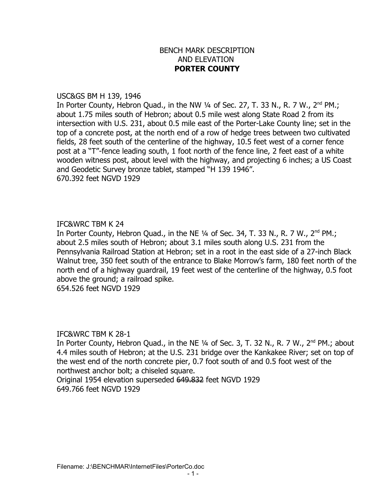# BENCH MARK DESCRIPTION AND ELEVATION **PORTER COUNTY**

#### USC&GS BM H 139, 1946

In Porter County, Hebron Quad., in the NW  $\frac{1}{4}$  of Sec. 27, T. 33 N., R. 7 W.,  $2^{nd}$  PM.; about 1.75 miles south of Hebron; about 0.5 mile west along State Road 2 from its intersection with U.S. 231, about 0.5 mile east of the Porter-Lake County line; set in the top of a concrete post, at the north end of a row of hedge trees between two cultivated fields, 28 feet south of the centerline of the highway, 10.5 feet west of a corner fence post at a "T"-fence leading south, 1 foot north of the fence line, 2 feet east of a white wooden witness post, about level with the highway, and projecting 6 inches; a US Coast and Geodetic Survey bronze tablet, stamped "H 139 1946". 670.392 feet NGVD 1929

## IFC&WRC TBM K 24

In Porter County, Hebron Quad., in the NE 1/4 of Sec. 34, T. 33 N., R. 7 W., 2<sup>nd</sup> PM.; about 2.5 miles south of Hebron; about 3.1 miles south along U.S. 231 from the Pennsylvania Railroad Station at Hebron; set in a root in the east side of a 27-inch Black Walnut tree, 350 feet south of the entrance to Blake Morrow's farm, 180 feet north of the north end of a highway guardrail, 19 feet west of the centerline of the highway, 0.5 foot above the ground; a railroad spike.

654.526 feet NGVD 1929

## IFC&WRC TBM K 28-1

In Porter County, Hebron Quad., in the NE  $\frac{1}{4}$  of Sec. 3, T. 32 N., R. 7 W., 2<sup>nd</sup> PM.; about 4.4 miles south of Hebron; at the U.S. 231 bridge over the Kankakee River; set on top of the west end of the north concrete pier, 0.7 foot south of and 0.5 foot west of the northwest anchor bolt; a chiseled square.

Original 1954 elevation superseded 649.832 feet NGVD 1929 649.766 feet NGVD 1929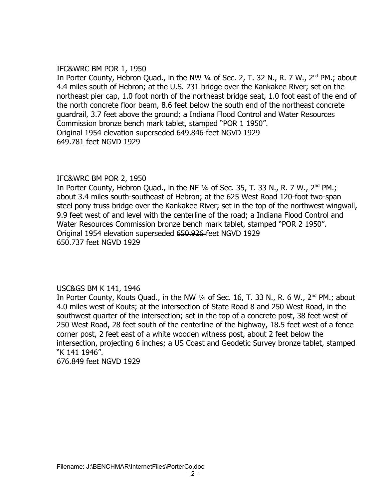## IFC&WRC BM POR 1, 1950

In Porter County, Hebron Quad., in the NW 1/4 of Sec. 2, T. 32 N., R. 7 W., 2<sup>nd</sup> PM.; about 4.4 miles south of Hebron; at the U.S. 231 bridge over the Kankakee River; set on the northeast pier cap, 1.0 foot north of the northeast bridge seat, 1.0 foot east of the end of the north concrete floor beam, 8.6 feet below the south end of the northeast concrete guardrail, 3.7 feet above the ground; a Indiana Flood Control and Water Resources Commission bronze bench mark tablet, stamped "POR 1 1950". Original 1954 elevation superseded 649.846 feet NGVD 1929 649.781 feet NGVD 1929

# IFC&WRC BM POR 2, 1950

In Porter County, Hebron Quad., in the NE  $\frac{1}{4}$  of Sec. 35, T. 33 N., R. 7 W.,  $2^{nd}$  PM.; about 3.4 miles south-southeast of Hebron; at the 625 West Road 120-foot two-span steel pony truss bridge over the Kankakee River; set in the top of the northwest wingwall, 9.9 feet west of and level with the centerline of the road; a Indiana Flood Control and Water Resources Commission bronze bench mark tablet, stamped "POR 2 1950". Original 1954 elevation superseded 650.926 feet NGVD 1929 650.737 feet NGVD 1929

## USC&GS BM K 141, 1946

In Porter County, Kouts Quad., in the NW  $\frac{1}{4}$  of Sec. 16, T. 33 N., R. 6 W., 2<sup>nd</sup> PM.; about 4.0 miles west of Kouts; at the intersection of State Road 8 and 250 West Road, in the southwest quarter of the intersection; set in the top of a concrete post, 38 feet west of 250 West Road, 28 feet south of the centerline of the highway, 18.5 feet west of a fence corner post, 2 feet east of a white wooden witness post, about 2 feet below the intersection, projecting 6 inches; a US Coast and Geodetic Survey bronze tablet, stamped "K 141 1946".

676.849 feet NGVD 1929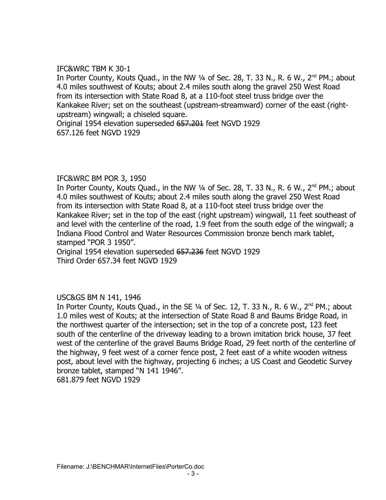# IFC&WRC TBM K 30-1

In Porter County, Kouts Quad., in the NW 1/4 of Sec. 28, T. 33 N., R. 6 W., 2<sup>nd</sup> PM.; about 4.0 miles southwest of Kouts; about 2.4 miles south along the gravel 250 West Road from its intersection with State Road 8, at a 110-foot steel truss bridge over the Kankakee River; set on the southeast (upstream-streamward) corner of the east (rightupstream) wingwall; a chiseled square.

Original 1954 elevation superseded 657.201 feet NGVD 1929 657.126 feet NGVD 1929

## IFC&WRC BM POR 3, 1950

In Porter County, Kouts Quad., in the NW 1/4 of Sec. 28, T. 33 N., R. 6 W., 2<sup>nd</sup> PM.; about 4.0 miles southwest of Kouts; about 2.4 miles south along the gravel 250 West Road from its intersection with State Road 8, at a 110-foot steel truss bridge over the Kankakee River; set in the top of the east (right upstream) wingwall, 11 feet southeast of and level with the centerline of the road, 1.9 feet from the south edge of the wingwall; a Indiana Flood Control and Water Resources Commission bronze bench mark tablet, stamped "POR 3 1950".

Original 1954 elevation superseded 657.236 feet NGVD 1929 Third Order 657.34 feet NGVD 1929

# USC&GS BM N 141, 1946

In Porter County, Kouts Quad., in the SE 1/4 of Sec. 12, T. 33 N., R. 6 W., 2<sup>nd</sup> PM.; about 1.0 miles west of Kouts; at the intersection of State Road 8 and Baums Bridge Road, in the northwest quarter of the intersection; set in the top of a concrete post, 123 feet south of the centerline of the driveway leading to a brown imitation brick house, 37 feet west of the centerline of the gravel Baums Bridge Road, 29 feet north of the centerline of the highway, 9 feet west of a corner fence post, 2 feet east of a white wooden witness post, about level with the highway, projecting 6 inches; a US Coast and Geodetic Survey bronze tablet, stamped "N 141 1946".

681.879 feet NGVD 1929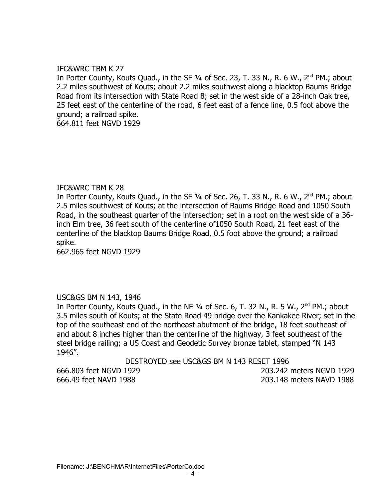# IFC&WRC TBM K 27

In Porter County, Kouts Quad., in the SE 1/4 of Sec. 23, T. 33 N., R. 6 W., 2<sup>nd</sup> PM.; about 2.2 miles southwest of Kouts; about 2.2 miles southwest along a blacktop Baums Bridge Road from its intersection with State Road 8; set in the west side of a 28-inch Oak tree, 25 feet east of the centerline of the road, 6 feet east of a fence line, 0.5 foot above the ground; a railroad spike.

664.811 feet NGVD 1929

## IFC&WRC TBM K 28

In Porter County, Kouts Quad., in the SE  $\frac{1}{4}$  of Sec. 26, T. 33 N., R. 6 W., 2<sup>nd</sup> PM.; about 2.5 miles southwest of Kouts; at the intersection of Baums Bridge Road and 1050 South Road, in the southeast quarter of the intersection; set in a root on the west side of a 36 inch Elm tree, 36 feet south of the centerline of1050 South Road, 21 feet east of the centerline of the blacktop Baums Bridge Road, 0.5 foot above the ground; a railroad spike.

662.965 feet NGVD 1929

## USC&GS BM N 143, 1946

In Porter County, Kouts Quad., in the NE 1/4 of Sec. 6, T. 32 N., R. 5 W., 2<sup>nd</sup> PM.; about 3.5 miles south of Kouts; at the State Road 49 bridge over the Kankakee River; set in the top of the southeast end of the northeast abutment of the bridge, 18 feet southeast of and about 8 inches higher than the centerline of the highway, 3 feet southeast of the steel bridge railing; a US Coast and Geodetic Survey bronze tablet, stamped "N 143 1946".

DESTROYED see USC&GS BM N 143 RESET 1996

666.803 feet NGVD 1929 203.242 meters NGVD 1929 666.49 feet NAVD 1988 203.148 meters NAVD 1988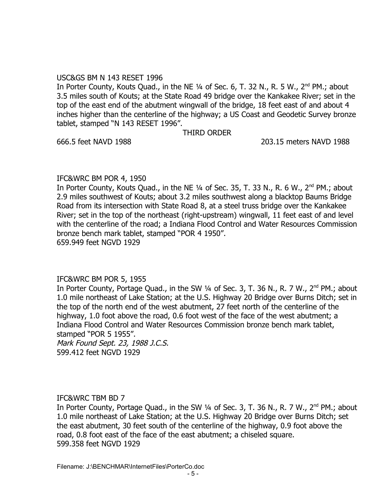#### USC&GS BM N 143 RESET 1996

In Porter County, Kouts Quad., in the NE  $\frac{1}{4}$  of Sec. 6, T. 32 N., R. 5 W., 2<sup>nd</sup> PM.; about 3.5 miles south of Kouts; at the State Road 49 bridge over the Kankakee River; set in the top of the east end of the abutment wingwall of the bridge, 18 feet east of and about 4 inches higher than the centerline of the highway; a US Coast and Geodetic Survey bronze tablet, stamped "N 143 RESET 1996".

THIRD ORDER

## 666.5 feet NAVD 1988 203.15 meters NAVD 1988

## IFC&WRC BM POR 4, 1950

In Porter County, Kouts Quad., in the NE 1/4 of Sec. 35, T. 33 N., R. 6 W., 2<sup>nd</sup> PM.; about 2.9 miles southwest of Kouts; about 3.2 miles southwest along a blacktop Baums Bridge Road from its intersection with State Road 8, at a steel truss bridge over the Kankakee River; set in the top of the northeast (right-upstream) wingwall, 11 feet east of and level with the centerline of the road; a Indiana Flood Control and Water Resources Commission bronze bench mark tablet, stamped "POR 4 1950". 659.949 feet NGVD 1929

## IFC&WRC BM POR 5, 1955

In Porter County, Portage Quad., in the SW 1/4 of Sec. 3, T. 36 N., R. 7 W., 2<sup>nd</sup> PM.; about 1.0 mile northeast of Lake Station; at the U.S. Highway 20 Bridge over Burns Ditch; set in the top of the north end of the west abutment, 27 feet north of the centerline of the highway, 1.0 foot above the road, 0.6 foot west of the face of the west abutment; a Indiana Flood Control and Water Resources Commission bronze bench mark tablet, stamped "POR 5 1955".

Mark Found Sept. 23, 1988 J.C.S. 599.412 feet NGVD 1929

## IFC&WRC TBM BD 7

In Porter County, Portage Quad., in the SW 1/4 of Sec. 3, T. 36 N., R. 7 W., 2<sup>nd</sup> PM.; about 1.0 mile northeast of Lake Station; at the U.S. Highway 20 Bridge over Burns Ditch; set the east abutment, 30 feet south of the centerline of the highway, 0.9 foot above the road, 0.8 foot east of the face of the east abutment; a chiseled square. 599.358 feet NGVD 1929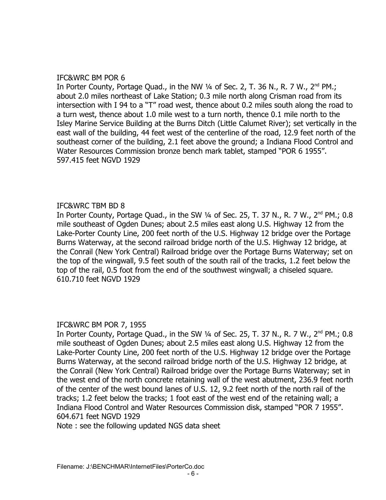# IFC&WRC BM POR 6

In Porter County, Portage Quad., in the NW  $\frac{1}{4}$  of Sec. 2, T. 36 N., R. 7 W.,  $2^{nd}$  PM.; about 2.0 miles northeast of Lake Station; 0.3 mile north along Crisman road from its intersection with I 94 to a "T" road west, thence about 0.2 miles south along the road to a turn west, thence about 1.0 mile west to a turn north, thence 0.1 mile north to the Isley Marine Service Building at the Burns Ditch (Little Calumet River); set vertically in the east wall of the building, 44 feet west of the centerline of the road, 12.9 feet north of the southeast corner of the building, 2.1 feet above the ground; a Indiana Flood Control and Water Resources Commission bronze bench mark tablet, stamped "POR 6 1955". 597.415 feet NGVD 1929

# IFC&WRC TBM BD 8

In Porter County, Portage Quad., in the SW  $\frac{1}{4}$  of Sec. 25, T. 37 N., R. 7 W.,  $2^{nd}$  PM.; 0.8 mile southeast of Ogden Dunes; about 2.5 miles east along U.S. Highway 12 from the Lake-Porter County Line, 200 feet north of the U.S. Highway 12 bridge over the Portage Burns Waterway, at the second railroad bridge north of the U.S. Highway 12 bridge, at the Conrail (New York Central) Railroad bridge over the Portage Burns Waterway; set on the top of the wingwall, 9.5 feet south of the south rail of the tracks, 1.2 feet below the top of the rail, 0.5 foot from the end of the southwest wingwall; a chiseled square. 610.710 feet NGVD 1929

## IFC&WRC BM POR 7, 1955

In Porter County, Portage Quad., in the SW  $\frac{1}{4}$  of Sec. 25, T. 37 N., R. 7 W.,  $2^{nd}$  PM.; 0.8 mile southeast of Ogden Dunes; about 2.5 miles east along U.S. Highway 12 from the Lake-Porter County Line, 200 feet north of the U.S. Highway 12 bridge over the Portage Burns Waterway, at the second railroad bridge north of the U.S. Highway 12 bridge, at the Conrail (New York Central) Railroad bridge over the Portage Burns Waterway; set in the west end of the north concrete retaining wall of the west abutment, 236.9 feet north of the center of the west bound lanes of U.S. 12, 9.2 feet north of the north rail of the tracks; 1.2 feet below the tracks; 1 foot east of the west end of the retaining wall; a Indiana Flood Control and Water Resources Commission disk, stamped "POR 7 1955". 604.671 feet NGVD 1929

Note : see the following updated NGS data sheet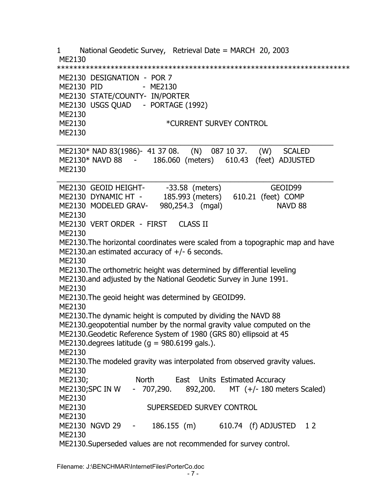1 National Geodetic Survey, Retrieval Date = MARCH 20, 2003 ME2130 \*\*\*\*\*\*\*\*\*\*\*\*\*\*\*\*\*\*\*\*\*\*\*\*\*\*\*\*\*\*\*\*\*\*\*\*\*\*\*\*\*\*\*\*\*\*\*\*\*\*\*\*\*\*\*\*\*\*\*\*\*\*\*\*\*\*\*\*\*\*\* ME2130 DESIGNATION - POR 7 ME2130 PID - ME2130 ME2130 STATE/COUNTY- IN/PORTER ME2130 USGS QUAD - PORTAGE (1992) ME2130 ME2130 **\*CURRENT SURVEY CONTROL**  ME2130  $\_$  ,  $\_$  ,  $\_$  ,  $\_$  ,  $\_$  ,  $\_$  ,  $\_$  ,  $\_$  ,  $\_$  ,  $\_$  ,  $\_$  ,  $\_$  ,  $\_$  ,  $\_$  ,  $\_$  ,  $\_$  ,  $\_$  ,  $\_$  ,  $\_$  ,  $\_$  ME2130\* NAD 83(1986)- 41 37 08. (N) 087 10 37. (W) SCALED ME2130\* NAVD 88 - 186.060 (meters) 610.43 (feet) ADJUSTED ME2130  $\_$  ,  $\_$  ,  $\_$  ,  $\_$  ,  $\_$  ,  $\_$  ,  $\_$  ,  $\_$  ,  $\_$  ,  $\_$  ,  $\_$  ,  $\_$  ,  $\_$  ,  $\_$  ,  $\_$  ,  $\_$  ,  $\_$  ,  $\_$  ,  $\_$  ,  $\_$ ME2130 GEOID HEIGHT- -33.58 (meters) GEOID99 ME2130 DYNAMIC HT - 185.993 (meters) 610.21 (feet) COMP ME2130 MODELED GRAV- 980,254.3 (mgal) NAVD 88 ME2130 ME2130 VERT ORDER - FIRST CLASS II ME2130 ME2130.The horizontal coordinates were scaled from a topographic map and have ME2130.an estimated accuracy of +/- 6 seconds. ME2130 ME2130.The orthometric height was determined by differential leveling ME2130.and adjusted by the National Geodetic Survey in June 1991. ME2130 ME2130.The geoid height was determined by GEOID99. ME2130 ME2130.The dynamic height is computed by dividing the NAVD 88 ME2130.geopotential number by the normal gravity value computed on the ME2130.Geodetic Reference System of 1980 (GRS 80) ellipsoid at 45 ME2130.degrees latitude ( $q = 980.6199$  gals.). ME2130 ME2130.The modeled gravity was interpolated from observed gravity values. ME2130 ME2130; North East Units Estimated Accuracy ME2130;SPC IN W - 707,290. 892,200. MT (+/- 180 meters Scaled) ME2130 ME2130 SUPERSEDED SURVEY CONTROL ME2130 ME2130 NGVD 29 - 186.155 (m) 610.74 (f) ADJUSTED 1 2 ME2130 ME2130.Superseded values are not recommended for survey control.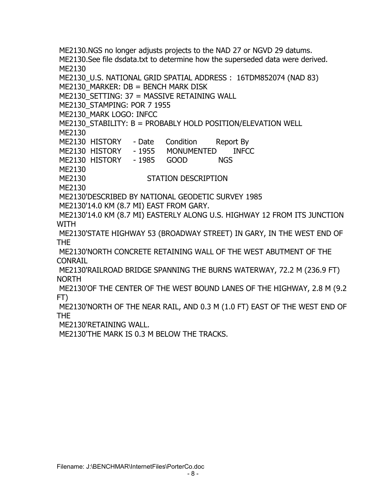ME2130.NGS no longer adjusts projects to the NAD 27 or NGVD 29 datums. ME2130.See file dsdata.txt to determine how the superseded data were derived. ME2130 ME2130\_U.S. NATIONAL GRID SPATIAL ADDRESS : 16TDM852074 (NAD 83)  $ME2130$  MARKER:  $DB = BENCH$  MARK DISK ME2130 SETTING: 37 = MASSIVE RETAINING WALL ME2130\_STAMPING: POR 7 1955 ME2130\_MARK LOGO: INFCC ME2130\_STABILITY: B = PROBABLY HOLD POSITION/ELEVATION WELL ME2130 ME2130 HISTORY - Date Condition Report By ME2130 HISTORY - 1955 MONUMENTED INFCC ME2130 HISTORY - 1985 GOOD NGS ME2130 ME2130 STATION DESCRIPTION ME2130 ME2130'DESCRIBED BY NATIONAL GEODETIC SURVEY 1985 ME2130'14.0 KM (8.7 MI) EAST FROM GARY. ME2130'14.0 KM (8.7 MI) EASTERLY ALONG U.S. HIGHWAY 12 FROM ITS JUNCTION WITH ME2130'STATE HIGHWAY 53 (BROADWAY STREET) IN GARY, IN THE WEST END OF THE ME2130'NORTH CONCRETE RETAINING WALL OF THE WEST ABUTMENT OF THE **CONRAIL**  ME2130'RAILROAD BRIDGE SPANNING THE BURNS WATERWAY, 72.2 M (236.9 FT) NORTH ME2130'OF THE CENTER OF THE WEST BOUND LANES OF THE HIGHWAY, 2.8 M (9.2 FT) ME2130'NORTH OF THE NEAR RAIL, AND 0.3 M (1.0 FT) EAST OF THE WEST END OF THE ME2130'RETAINING WALL.

ME2130'THE MARK IS 0.3 M BELOW THE TRACKS.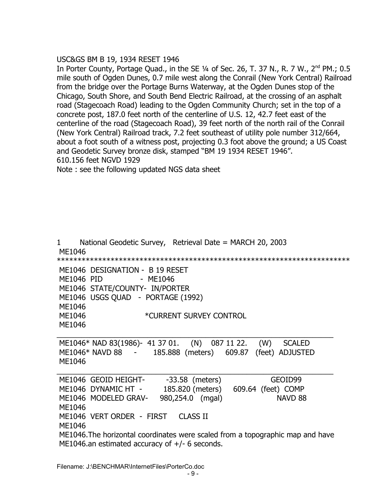## USC&GS BM B 19, 1934 RESET 1946

In Porter County, Portage Quad., in the SE  $\frac{1}{4}$  of Sec. 26, T. 37 N., R. 7 W.,  $2^{nd}$  PM.; 0.5 mile south of Ogden Dunes, 0.7 mile west along the Conrail (New York Central) Railroad from the bridge over the Portage Burns Waterway, at the Ogden Dunes stop of the Chicago, South Shore, and South Bend Electric Railroad, at the crossing of an asphalt road (Stagecoach Road) leading to the Ogden Community Church; set in the top of a concrete post, 187.0 feet north of the centerline of U.S. 12, 42.7 feet east of the centerline of the road (Stagecoach Road), 39 feet north of the north rail of the Conrail (New York Central) Railroad track, 7.2 feet southeast of utility pole number 312/664, about a foot south of a witness post, projecting 0.3 foot above the ground; a US Coast and Geodetic Survey bronze disk, stamped "BM 19 1934 RESET 1946". 610.156 feet NGVD 1929

Note : see the following updated NGS data sheet

1 National Geodetic Survey, Retrieval Date = MARCH 20, 2003 ME1046 \*\*\*\*\*\*\*\*\*\*\*\*\*\*\*\*\*\*\*\*\*\*\*\*\*\*\*\*\*\*\*\*\*\*\*\*\*\*\*\*\*\*\*\*\*\*\*\*\*\*\*\*\*\*\*\*\*\*\*\*\*\*\*\*\*\*\*\*\*\*\* ME1046 DESIGNATION - B 19 RESET ME1046 PID - ME1046 ME1046 STATE/COUNTY- IN/PORTER ME1046 USGS QUAD - PORTAGE (1992) ME1046 ME1046 **\*CURRENT SURVEY CONTROL**  ME1046  $\_$  ,  $\_$  ,  $\_$  ,  $\_$  ,  $\_$  ,  $\_$  ,  $\_$  ,  $\_$  ,  $\_$  ,  $\_$  ,  $\_$  ,  $\_$  ,  $\_$  ,  $\_$  ,  $\_$  ,  $\_$  ,  $\_$  ,  $\_$  ,  $\_$  ,  $\_$  ME1046\* NAD 83(1986)- 41 37 01. (N) 087 11 22. (W) SCALED ME1046\* NAVD 88 - 185.888 (meters) 609.87 (feet) ADJUSTED ME1046  $\_$  ,  $\_$  ,  $\_$  ,  $\_$  ,  $\_$  ,  $\_$  ,  $\_$  ,  $\_$  ,  $\_$  ,  $\_$  ,  $\_$  ,  $\_$  ,  $\_$  ,  $\_$  ,  $\_$  ,  $\_$  ,  $\_$  ,  $\_$  ,  $\_$  ,  $\_$ ME1046 GEOID HEIGHT- -33.58 (meters) GEOID99 ME1046 DYNAMIC HT - 185.820 (meters) 609.64 (feet) COMP ME1046 MODELED GRAV- 980,254.0 (mgal) NAVD 88 ME1046 ME1046 VERT ORDER - FIRST CLASS II ME1046 ME1046.The horizontal coordinates were scaled from a topographic map and have ME1046.an estimated accuracy of  $+/-$  6 seconds.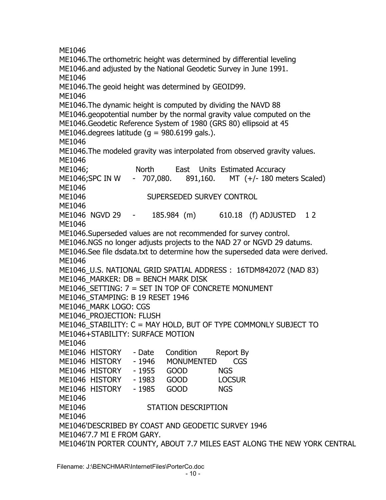ME1046 ME1046.The orthometric height was determined by differential leveling ME1046.and adjusted by the National Geodetic Survey in June 1991. ME1046 ME1046.The geoid height was determined by GEOID99. ME1046 ME1046.The dynamic height is computed by dividing the NAVD 88 ME1046.geopotential number by the normal gravity value computed on the ME1046.Geodetic Reference System of 1980 (GRS 80) ellipsoid at 45 ME1046.degrees latitude ( $q = 980.6199$  gals.). ME1046 ME1046.The modeled gravity was interpolated from observed gravity values. ME1046 ME1046; North East Units Estimated Accuracy ME1046;SPC IN W - 707,080. 891,160. MT (+/- 180 meters Scaled) ME1046 ME1046 SUPERSEDED SURVEY CONTROL ME1046 ME1046 NGVD 29 - 185.984 (m) 610.18 (f) ADJUSTED 1 2 ME1046 ME1046.Superseded values are not recommended for survey control. ME1046.NGS no longer adjusts projects to the NAD 27 or NGVD 29 datums. ME1046.See file dsdata.txt to determine how the superseded data were derived. ME1046 ME1046\_U.S. NATIONAL GRID SPATIAL ADDRESS : 16TDM842072 (NAD 83)  $ME1046$  MARKER: DB = BENCH MARK DISK ME1046\_SETTING: 7 = SET IN TOP OF CONCRETE MONUMENT ME1046\_STAMPING: B 19 RESET 1946 ME1046\_MARK LOGO: CGS ME1046\_PROJECTION: FLUSH ME1046\_STABILITY: C = MAY HOLD, BUT OF TYPE COMMONLY SUBJECT TO ME1046+STABILITY: SURFACE MOTION ME1046 ME1046 HISTORY - Date Condition Report By ME1046 HISTORY - 1946 MONUMENTED CGS ME1046 HISTORY - 1955 GOOD NGS ME1046 HISTORY - 1983 GOOD LOCSUR ME1046 HISTORY - 1985 GOOD NGS ME1046 ME1046 STATION DESCRIPTION ME1046 ME1046'DESCRIBED BY COAST AND GEODETIC SURVEY 1946 ME1046'7.7 MI E FROM GARY. ME1046'IN PORTER COUNTY, ABOUT 7.7 MILES EAST ALONG THE NEW YORK CENTRAL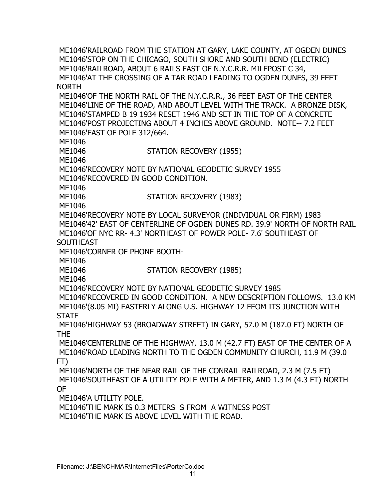ME1046'RAILROAD FROM THE STATION AT GARY, LAKE COUNTY, AT OGDEN DUNES ME1046'STOP ON THE CHICAGO, SOUTH SHORE AND SOUTH BEND (ELECTRIC) ME1046'RAILROAD, ABOUT 6 RAILS EAST OF N.Y.C.R.R. MILEPOST C 34, ME1046'AT THE CROSSING OF A TAR ROAD LEADING TO OGDEN DUNES, 39 FEET NORTH ME1046'OF THE NORTH RAIL OF THE N.Y.C.R.R., 36 FEET EAST OF THE CENTER ME1046'LINE OF THE ROAD, AND ABOUT LEVEL WITH THE TRACK. A BRONZE DISK, ME1046'STAMPED B 19 1934 RESET 1946 AND SET IN THE TOP OF A CONCRETE ME1046'POST PROJECTING ABOUT 4 INCHES ABOVE GROUND. NOTE-- 7.2 FEET ME1046'EAST OF POLE 312/664. ME1046 ME1046 STATION RECOVERY (1955) ME1046 ME1046'RECOVERY NOTE BY NATIONAL GEODETIC SURVEY 1955 ME1046'RECOVERED IN GOOD CONDITION. ME1046 ME1046 STATION RECOVERY (1983) ME1046 ME1046'RECOVERY NOTE BY LOCAL SURVEYOR (INDIVIDUAL OR FIRM) 1983 ME1046'42' EAST OF CENTERLINE OF OGDEN DUNES RD. 39.9' NORTH OF NORTH RAIL ME1046'OF NYC RR- 4.3' NORTHEAST OF POWER POLE- 7.6' SOUTHEAST OF **SOUTHEAST**  ME1046'CORNER OF PHONE BOOTH- ME1046 ME1046 STATION RECOVERY (1985) ME1046 ME1046'RECOVERY NOTE BY NATIONAL GEODETIC SURVEY 1985 ME1046'RECOVERED IN GOOD CONDITION. A NEW DESCRIPTION FOLLOWS. 13.0 KM ME1046'(8.05 MI) EASTERLY ALONG U.S. HIGHWAY 12 FEOM ITS JUNCTION WITH **STATE**  ME1046'HIGHWAY 53 (BROADWAY STREET) IN GARY, 57.0 M (187.0 FT) NORTH OF THE ME1046'CENTERLINE OF THE HIGHWAY, 13.0 M (42.7 FT) EAST OF THE CENTER OF A ME1046'ROAD LEADING NORTH TO THE OGDEN COMMUNITY CHURCH, 11.9 M (39.0 FT) ME1046'NORTH OF THE NEAR RAIL OF THE CONRAIL RAILROAD, 2.3 M (7.5 FT) ME1046'SOUTHEAST OF A UTILITY POLE WITH A METER, AND 1.3 M (4.3 FT) NORTH OF ME1046'A UTILITY POLE. ME1046'THE MARK IS 0.3 METERS S FROM A WITNESS POST ME1046'THE MARK IS ABOVE LEVEL WITH THE ROAD.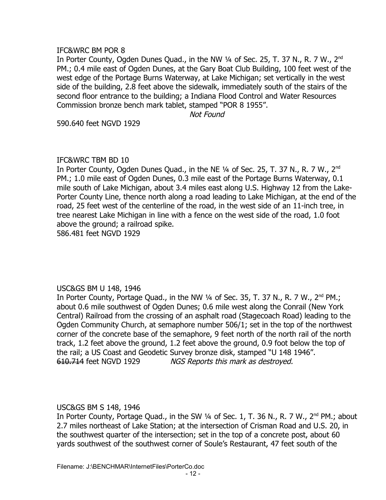## IFC&WRC BM POR 8

In Porter County, Ogden Dunes Quad., in the NW 1/4 of Sec. 25, T. 37 N., R. 7 W., 2<sup>nd</sup> PM.; 0.4 mile east of Ogden Dunes, at the Gary Boat Club Building, 100 feet west of the west edge of the Portage Burns Waterway, at Lake Michigan; set vertically in the west side of the building, 2.8 feet above the sidewalk, immediately south of the stairs of the second floor entrance to the building; a Indiana Flood Control and Water Resources Commission bronze bench mark tablet, stamped "POR 8 1955".

Not Found

590.640 feet NGVD 1929

#### IFC&WRC TBM BD 10

In Porter County, Ogden Dunes Quad., in the NE  $\frac{1}{4}$  of Sec. 25, T. 37 N., R. 7 W., 2<sup>nd</sup> PM.; 1.0 mile east of Ogden Dunes, 0.3 mile east of the Portage Burns Waterway, 0.1 mile south of Lake Michigan, about 3.4 miles east along U.S. Highway 12 from the Lake-Porter County Line, thence north along a road leading to Lake Michigan, at the end of the road, 25 feet west of the centerline of the road, in the west side of an 11-inch tree, in tree nearest Lake Michigan in line with a fence on the west side of the road, 1.0 foot above the ground; a railroad spike.

586.481 feet NGVD 1929

## USC&GS BM U 148, 1946

In Porter County, Portage Quad., in the NW  $\frac{1}{4}$  of Sec. 35, T. 37 N., R. 7 W.,  $2^{nd}$  PM.; about 0.6 mile southwest of Ogden Dunes; 0.6 mile west along the Conrail (New York Central) Railroad from the crossing of an asphalt road (Stagecoach Road) leading to the Ogden Community Church, at semaphore number 506/1; set in the top of the northwest corner of the concrete base of the semaphore, 9 feet north of the north rail of the north track, 1.2 feet above the ground, 1.2 feet above the ground, 0.9 foot below the top of the rail; a US Coast and Geodetic Survey bronze disk, stamped "U 148 1946". 610.714 feet NGVD 1929 NGS Reports this mark as destroyed.

## USC&GS BM S 148, 1946

In Porter County, Portage Quad., in the SW 1/4 of Sec. 1, T. 36 N., R. 7 W., 2<sup>nd</sup> PM.; about 2.7 miles northeast of Lake Station; at the intersection of Crisman Road and U.S. 20, in the southwest quarter of the intersection; set in the top of a concrete post, about 60 yards southwest of the southwest corner of Soule's Restaurant, 47 feet south of the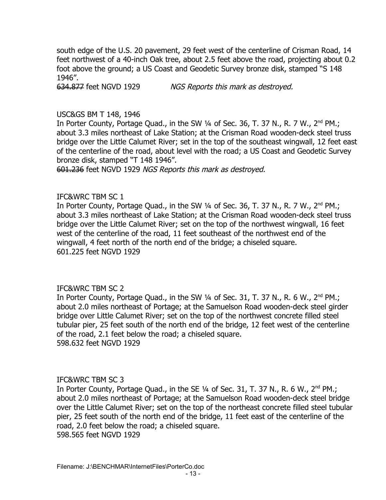south edge of the U.S. 20 pavement, 29 feet west of the centerline of Crisman Road, 14 feet northwest of a 40-inch Oak tree, about 2.5 feet above the road, projecting about 0.2 foot above the ground; a US Coast and Geodetic Survey bronze disk, stamped "S 148 1946".

634.877 feet NGVD 1929 NGS Reports this mark as destroyed.

#### USC&GS BM T 148, 1946

In Porter County, Portage Quad., in the SW  $\frac{1}{4}$  of Sec. 36, T. 37 N., R. 7 W.,  $2^{nd}$  PM.; about 3.3 miles northeast of Lake Station; at the Crisman Road wooden-deck steel truss bridge over the Little Calumet River; set in the top of the southeast wingwall, 12 feet east of the centerline of the road, about level with the road; a US Coast and Geodetic Survey bronze disk, stamped "T 148 1946".

601.236 feet NGVD 1929 NGS Reports this mark as destroyed.

#### IFC&WRC TBM SC 1

In Porter County, Portage Quad., in the SW  $\frac{1}{4}$  of Sec. 36, T. 37 N., R. 7 W.,  $2^{nd}$  PM.; about 3.3 miles northeast of Lake Station; at the Crisman Road wooden-deck steel truss bridge over the Little Calumet River; set on the top of the northwest wingwall, 16 feet west of the centerline of the road, 11 feet southeast of the northwest end of the wingwall, 4 feet north of the north end of the bridge; a chiseled square. 601.225 feet NGVD 1929

#### IFC&WRC TBM SC 2

In Porter County, Portage Quad., in the SW  $\frac{1}{4}$  of Sec. 31, T. 37 N., R. 6 W.,  $2^{nd}$  PM.; about 2.0 miles northeast of Portage; at the Samuelson Road wooden-deck steel girder bridge over Little Calumet River; set on the top of the northwest concrete filled steel tubular pier, 25 feet south of the north end of the bridge, 12 feet west of the centerline of the road, 2.1 feet below the road; a chiseled square. 598.632 feet NGVD 1929

## IFC&WRC TBM SC 3

In Porter County, Portage Quad., in the SE  $\frac{1}{4}$  of Sec. 31, T. 37 N., R. 6 W.,  $2^{nd}$  PM.; about 2.0 miles northeast of Portage; at the Samuelson Road wooden-deck steel bridge over the Little Calumet River; set on the top of the northeast concrete filled steel tubular pier, 25 feet south of the north end of the bridge, 11 feet east of the centerline of the road, 2.0 feet below the road; a chiseled square. 598.565 feet NGVD 1929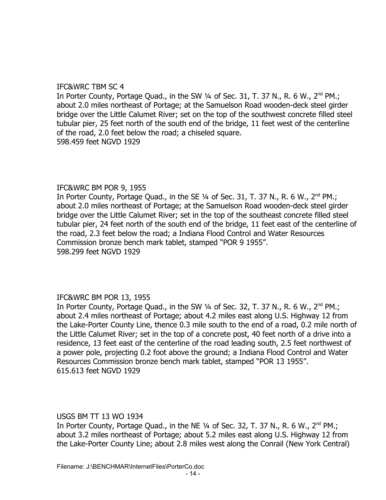# IFC&WRC TBM SC 4

In Porter County, Portage Quad., in the SW  $\frac{1}{4}$  of Sec. 31, T. 37 N., R. 6 W.,  $2^{nd}$  PM.; about 2.0 miles northeast of Portage; at the Samuelson Road wooden-deck steel girder bridge over the Little Calumet River; set on the top of the southwest concrete filled steel tubular pier, 25 feet north of the south end of the bridge, 11 feet west of the centerline of the road, 2.0 feet below the road; a chiseled square. 598.459 feet NGVD 1929

# IFC&WRC BM POR 9, 1955

In Porter County, Portage Quad., in the SE  $\frac{1}{4}$  of Sec. 31, T. 37 N., R. 6 W.,  $2^{nd}$  PM.; about 2.0 miles northeast of Portage; at the Samuelson Road wooden-deck steel girder bridge over the Little Calumet River; set in the top of the southeast concrete filled steel tubular pier, 24 feet north of the south end of the bridge, 11 feet east of the centerline of the road, 2.3 feet below the road; a Indiana Flood Control and Water Resources Commission bronze bench mark tablet, stamped "POR 9 1955". 598.299 feet NGVD 1929

# IFC&WRC BM POR 13, 1955

In Porter County, Portage Quad., in the SW 1/4 of Sec. 32, T. 37 N., R. 6 W., 2<sup>nd</sup> PM.; about 2.4 miles northeast of Portage; about 4.2 miles east along U.S. Highway 12 from the Lake-Porter County Line, thence 0.3 mile south to the end of a road, 0.2 mile north of the Little Calumet River; set in the top of a concrete post, 40 feet north of a drive into a residence, 13 feet east of the centerline of the road leading south, 2.5 feet northwest of a power pole, projecting 0.2 foot above the ground; a Indiana Flood Control and Water Resources Commission bronze bench mark tablet, stamped "POR 13 1955". 615.613 feet NGVD 1929

## USGS BM TT 13 WO 1934

In Porter County, Portage Quad., in the NE  $\frac{1}{4}$  of Sec. 32, T. 37 N., R. 6 W.,  $2^{nd}$  PM.; about 3.2 miles northeast of Portage; about 5.2 miles east along U.S. Highway 12 from the Lake-Porter County Line; about 2.8 miles west along the Conrail (New York Central)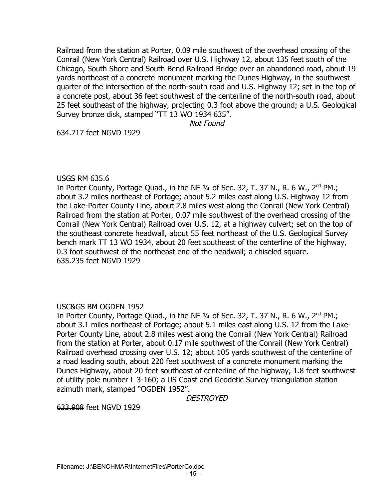Railroad from the station at Porter, 0.09 mile southwest of the overhead crossing of the Conrail (New York Central) Railroad over U.S. Highway 12, about 135 feet south of the Chicago, South Shore and South Bend Railroad Bridge over an abandoned road, about 19 yards northeast of a concrete monument marking the Dunes Highway, in the southwest quarter of the intersection of the north-south road and U.S. Highway 12; set in the top of a concrete post, about 36 feet southwest of the centerline of the north-south road, about 25 feet southeast of the highway, projecting 0.3 foot above the ground; a U.S. Geological Survey bronze disk, stamped "TT 13 WO 1934 635".

Not Found

634.717 feet NGVD 1929

# USGS RM 635.6

In Porter County, Portage Quad., in the NE  $1/4$  of Sec. 32, T. 37 N., R. 6 W.,  $2^{nd}$  PM.; about 3.2 miles northeast of Portage; about 5.2 miles east along U.S. Highway 12 from the Lake-Porter County Line, about 2.8 miles west along the Conrail (New York Central) Railroad from the station at Porter, 0.07 mile southwest of the overhead crossing of the Conrail (New York Central) Railroad over U.S. 12, at a highway culvert; set on the top of the southeast concrete headwall, about 55 feet northeast of the U.S. Geological Survey bench mark TT 13 WO 1934, about 20 feet southeast of the centerline of the highway, 0.3 foot southwest of the northeast end of the headwall; a chiseled square. 635.235 feet NGVD 1929

# USC&GS BM OGDEN 1952

In Porter County, Portage Quad., in the NE 1/4 of Sec. 32, T. 37 N., R. 6 W., 2<sup>nd</sup> PM.; about 3.1 miles northeast of Portage; about 5.1 miles east along U.S. 12 from the Lake-Porter County Line, about 2.8 miles west along the Conrail (New York Central) Railroad from the station at Porter, about 0.17 mile southwest of the Conrail (New York Central) Railroad overhead crossing over U.S. 12; about 105 yards southwest of the centerline of a road leading south, about 220 feet southwest of a concrete monument marking the Dunes Highway, about 20 feet southeast of centerline of the highway, 1.8 feet southwest of utility pole number L 3-160; a US Coast and Geodetic Survey triangulation station azimuth mark, stamped "OGDEN 1952".

DESTROYED

633.908 feet NGVD 1929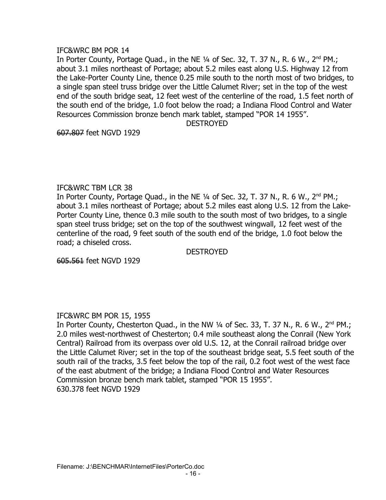## IFC&WRC BM POR 14

In Porter County, Portage Quad., in the NE  $\frac{1}{4}$  of Sec. 32, T. 37 N., R. 6 W.,  $2^{nd}$  PM.; about 3.1 miles northeast of Portage; about 5.2 miles east along U.S. Highway 12 from the Lake-Porter County Line, thence 0.25 mile south to the north most of two bridges, to a single span steel truss bridge over the Little Calumet River; set in the top of the west end of the south bridge seat, 12 feet west of the centerline of the road, 1.5 feet north of the south end of the bridge, 1.0 foot below the road; a Indiana Flood Control and Water Resources Commission bronze bench mark tablet, stamped "POR 14 1955".

#### **DESTROYED**

607.807 feet NGVD 1929

# IFC&WRC TBM LCR 38

In Porter County, Portage Quad., in the NE  $\frac{1}{4}$  of Sec. 32, T. 37 N., R. 6 W.,  $2^{nd}$  PM.; about 3.1 miles northeast of Portage; about 5.2 miles east along U.S. 12 from the Lake-Porter County Line, thence 0.3 mile south to the south most of two bridges, to a single span steel truss bridge; set on the top of the southwest wingwall, 12 feet west of the centerline of the road, 9 feet south of the south end of the bridge, 1.0 foot below the road; a chiseled cross.

**DESTROYED** 

605.561 feet NGVD 1929

# IFC&WRC BM POR 15, 1955

In Porter County, Chesterton Quad., in the NW 1/4 of Sec. 33, T. 37 N., R. 6 W., 2<sup>nd</sup> PM.; 2.0 miles west-northwest of Chesterton; 0.4 mile southeast along the Conrail (New York Central) Railroad from its overpass over old U.S. 12, at the Conrail railroad bridge over the Little Calumet River; set in the top of the southeast bridge seat, 5.5 feet south of the south rail of the tracks, 3.5 feet below the top of the rail, 0.2 foot west of the west face of the east abutment of the bridge; a Indiana Flood Control and Water Resources Commission bronze bench mark tablet, stamped "POR 15 1955". 630.378 feet NGVD 1929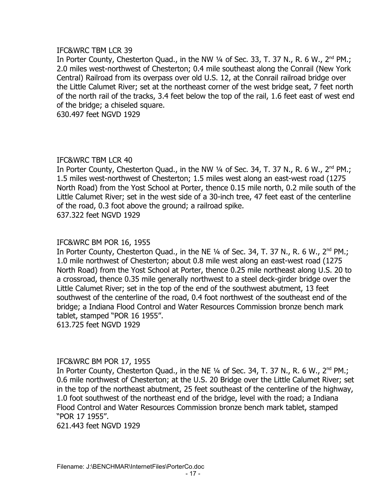## IFC&WRC TBM LCR 39

In Porter County, Chesterton Quad., in the NW  $\frac{1}{4}$  of Sec. 33, T. 37 N., R. 6 W., 2<sup>nd</sup> PM.; 2.0 miles west-northwest of Chesterton; 0.4 mile southeast along the Conrail (New York Central) Railroad from its overpass over old U.S. 12, at the Conrail railroad bridge over the Little Calumet River; set at the northeast corner of the west bridge seat, 7 feet north of the north rail of the tracks, 3.4 feet below the top of the rail, 1.6 feet east of west end of the bridge; a chiseled square.

630.497 feet NGVD 1929

# IFC&WRC TBM LCR 40

In Porter County, Chesterton Ouad., in the NW  $\frac{1}{4}$  of Sec. 34, T. 37 N., R. 6 W., 2<sup>nd</sup> PM.; 1.5 miles west-northwest of Chesterton; 1.5 miles west along an east-west road (1275 North Road) from the Yost School at Porter, thence 0.15 mile north, 0.2 mile south of the Little Calumet River; set in the west side of a 30-inch tree, 47 feet east of the centerline of the road, 0.3 foot above the ground; a railroad spike. 637.322 feet NGVD 1929

## IFC&WRC BM POR 16, 1955

In Porter County, Chesterton Quad., in the NE  $\frac{1}{4}$  of Sec. 34, T. 37 N., R. 6 W., 2<sup>nd</sup> PM.; 1.0 mile northwest of Chesterton; about 0.8 mile west along an east-west road (1275 North Road) from the Yost School at Porter, thence 0.25 mile northeast along U.S. 20 to a crossroad, thence 0.35 mile generally northwest to a steel deck-girder bridge over the Little Calumet River; set in the top of the end of the southwest abutment, 13 feet southwest of the centerline of the road, 0.4 foot northwest of the southeast end of the bridge; a Indiana Flood Control and Water Resources Commission bronze bench mark tablet, stamped "POR 16 1955". 613.725 feet NGVD 1929

## IFC&WRC BM POR 17, 1955

In Porter County, Chesterton Quad., in the NE  $\frac{1}{4}$  of Sec. 34, T. 37 N., R. 6 W., 2<sup>nd</sup> PM.; 0.6 mile northwest of Chesterton; at the U.S. 20 Bridge over the Little Calumet River; set in the top of the northeast abutment, 25 feet southeast of the centerline of the highway, 1.0 foot southwest of the northeast end of the bridge, level with the road; a Indiana Flood Control and Water Resources Commission bronze bench mark tablet, stamped "POR 17 1955".

621.443 feet NGVD 1929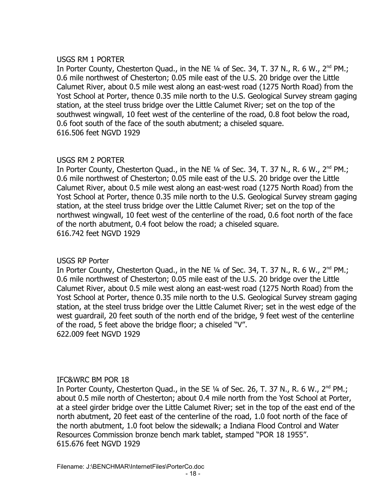## USGS RM 1 PORTER

In Porter County, Chesterton Quad., in the NE  $\frac{1}{4}$  of Sec. 34, T. 37 N., R. 6 W., 2<sup>nd</sup> PM.; 0.6 mile northwest of Chesterton; 0.05 mile east of the U.S. 20 bridge over the Little Calumet River, about 0.5 mile west along an east-west road (1275 North Road) from the Yost School at Porter, thence 0.35 mile north to the U.S. Geological Survey stream gaging station, at the steel truss bridge over the Little Calumet River; set on the top of the southwest wingwall, 10 feet west of the centerline of the road, 0.8 foot below the road, 0.6 foot south of the face of the south abutment; a chiseled square. 616.506 feet NGVD 1929

# USGS RM 2 PORTER

In Porter County, Chesterton Quad., in the NE  $1/4$  of Sec. 34, T. 37 N., R. 6 W., 2<sup>nd</sup> PM.; 0.6 mile northwest of Chesterton; 0.05 mile east of the U.S. 20 bridge over the Little Calumet River, about 0.5 mile west along an east-west road (1275 North Road) from the Yost School at Porter, thence 0.35 mile north to the U.S. Geological Survey stream gaging station, at the steel truss bridge over the Little Calumet River; set on the top of the northwest wingwall, 10 feet west of the centerline of the road, 0.6 foot north of the face of the north abutment, 0.4 foot below the road; a chiseled square. 616.742 feet NGVD 1929

# USGS RP Porter

In Porter County, Chesterton Quad., in the NE  $\frac{1}{4}$  of Sec. 34, T. 37 N., R. 6 W., 2<sup>nd</sup> PM.; 0.6 mile northwest of Chesterton; 0.05 mile east of the U.S. 20 bridge over the Little Calumet River, about 0.5 mile west along an east-west road (1275 North Road) from the Yost School at Porter, thence 0.35 mile north to the U.S. Geological Survey stream gaging station, at the steel truss bridge over the Little Calumet River; set in the west edge of the west guardrail, 20 feet south of the north end of the bridge, 9 feet west of the centerline of the road, 5 feet above the bridge floor; a chiseled "V". 622.009 feet NGVD 1929

# IFC&WRC BM POR 18

In Porter County, Chesterton Quad., in the SE  $\frac{1}{4}$  of Sec. 26, T. 37 N., R. 6 W., 2<sup>nd</sup> PM.; about 0.5 mile north of Chesterton; about 0.4 mile north from the Yost School at Porter, at a steel girder bridge over the Little Calumet River; set in the top of the east end of the north abutment, 20 feet east of the centerline of the road, 1.0 foot north of the face of the north abutment, 1.0 foot below the sidewalk; a Indiana Flood Control and Water Resources Commission bronze bench mark tablet, stamped "POR 18 1955". 615.676 feet NGVD 1929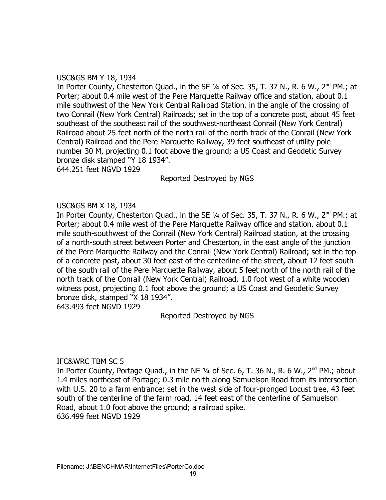## USC&GS BM Y 18, 1934

In Porter County, Chesterton Quad., in the SE  $\frac{1}{4}$  of Sec. 35, T. 37 N., R. 6 W., 2<sup>nd</sup> PM.; at Porter; about 0.4 mile west of the Pere Marquette Railway office and station, about 0.1 mile southwest of the New York Central Railroad Station, in the angle of the crossing of two Conrail (New York Central) Railroads; set in the top of a concrete post, about 45 feet southeast of the southeast rail of the southwest-northeast Conrail (New York Central) Railroad about 25 feet north of the north rail of the north track of the Conrail (New York Central) Railroad and the Pere Marquette Railway, 39 feet southeast of utility pole number 30 M, projecting 0.1 foot above the ground; a US Coast and Geodetic Survey bronze disk stamped "Y 18 1934".

644.251 feet NGVD 1929

Reported Destroyed by NGS

# USC&GS BM X 18, 1934

In Porter County, Chesterton Quad., in the SE 1/4 of Sec. 35, T. 37 N., R. 6 W., 2<sup>nd</sup> PM.; at Porter; about 0.4 mile west of the Pere Marquette Railway office and station, about 0.1 mile south-southwest of the Conrail (New York Central) Railroad station, at the crossing of a north-south street between Porter and Chesterton, in the east angle of the junction of the Pere Marquette Railway and the Conrail (New York Central) Railroad; set in the top of a concrete post, about 30 feet east of the centerline of the street, about 12 feet south of the south rail of the Pere Marquette Railway, about 5 feet north of the north rail of the north track of the Conrail (New York Central) Railroad, 1.0 foot west of a white wooden witness post, projecting 0.1 foot above the ground; a US Coast and Geodetic Survey bronze disk, stamped "X 18 1934".

643.493 feet NGVD 1929

Reported Destroyed by NGS

## IFC&WRC TBM SC 5

In Porter County, Portage Quad., in the NE  $\frac{1}{4}$  of Sec. 6, T. 36 N., R. 6 W., 2<sup>nd</sup> PM.; about 1.4 miles northeast of Portage; 0.3 mile north along Samuelson Road from its intersection with U.S. 20 to a farm entrance; set in the west side of four-pronged Locust tree, 43 feet south of the centerline of the farm road, 14 feet east of the centerline of Samuelson Road, about 1.0 foot above the ground; a railroad spike. 636.499 feet NGVD 1929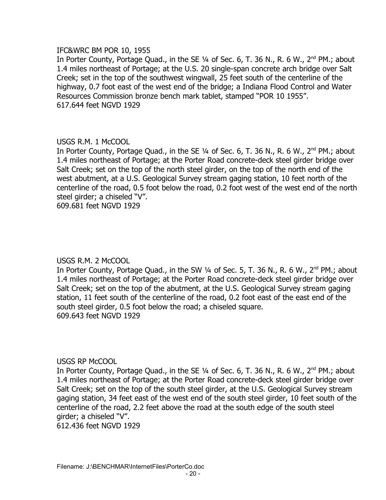## IFC&WRC BM POR 10, 1955

In Porter County, Portage Quad., in the SE 1/4 of Sec. 6, T. 36 N., R. 6 W., 2<sup>nd</sup> PM.; about 1.4 miles northeast of Portage; at the U.S. 20 single-span concrete arch bridge over Salt Creek; set in the top of the southwest wingwall, 25 feet south of the centerline of the highway, 0.7 foot east of the west end of the bridge; a Indiana Flood Control and Water Resources Commission bronze bench mark tablet, stamped "POR 10 1955". 617.644 feet NGVD 1929

# USGS R.M. 1 McCOOL

In Porter County, Portage Quad., in the SE 1/4 of Sec. 6, T. 36 N., R. 6 W., 2<sup>nd</sup> PM.; about 1.4 miles northeast of Portage; at the Porter Road concrete-deck steel girder bridge over Salt Creek; set on the top of the north steel girder, on the top of the north end of the west abutment, at a U.S. Geological Survey stream gaging station, 10 feet north of the centerline of the road, 0.5 foot below the road, 0.2 foot west of the west end of the north steel girder; a chiseled "V".

609.681 feet NGVD 1929

## USGS R.M. 2 McCOOL

In Porter County, Portage Quad., in the SW 1/4 of Sec. 5, T. 36 N., R. 6 W., 2<sup>nd</sup> PM.; about 1.4 miles northeast of Portage; at the Porter Road concrete-deck steel girder bridge over Salt Creek; set on the top of the abutment, at the U.S. Geological Survey stream gaging station, 11 feet south of the centerline of the road, 0.2 foot east of the east end of the south steel girder, 0.5 foot below the road; a chiseled square. 609.643 feet NGVD 1929

## USGS RP McCOOL

In Porter County, Portage Quad., in the SE  $\frac{1}{4}$  of Sec. 6, T. 36 N., R. 6 W., 2<sup>nd</sup> PM.; about 1.4 miles northeast of Portage; at the Porter Road concrete-deck steel girder bridge over Salt Creek; set on the top of the south steel girder, at the U.S. Geological Survey stream gaging station, 34 feet east of the west end of the south steel girder, 10 feet south of the centerline of the road, 2.2 feet above the road at the south edge of the south steel girder; a chiseled "V". 612.436 feet NGVD 1929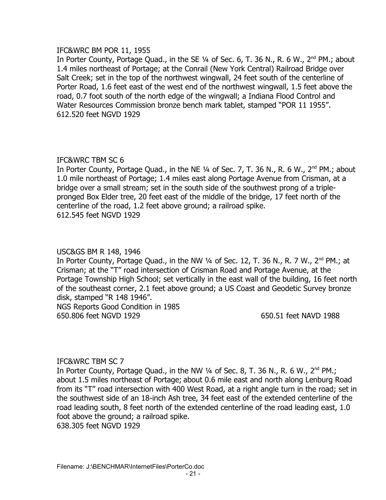## IFC&WRC BM POR 11, 1955

In Porter County, Portage Quad., in the SE 1/4 of Sec. 6, T. 36 N., R. 6 W., 2<sup>nd</sup> PM.; about 1.4 miles northeast of Portage; at the Conrail (New York Central) Railroad Bridge over Salt Creek; set in the top of the northwest wingwall, 24 feet south of the centerline of Porter Road, 1.6 feet east of the west end of the northwest wingwall, 1.5 feet above the road, 0.7 foot south of the north edge of the wingwall; a Indiana Flood Control and Water Resources Commission bronze bench mark tablet, stamped "POR 11 1955". 612.520 feet NGVD 1929

# IFC&WRC TBM SC 6

In Porter County, Portage Quad., in the NE 1/4 of Sec. 7, T. 36 N., R. 6 W., 2<sup>nd</sup> PM.; about 1.0 mile northeast of Portage; 1.4 miles east along Portage Avenue from Crisman, at a bridge over a small stream; set in the south side of the southwest prong of a triplepronged Box Elder tree, 20 feet east of the middle of the bridge, 17 feet north of the centerline of the road, 1.2 feet above ground; a railroad spike. 612.545 feet NGVD 1929

# USC&GS BM R 148, 1946

In Porter County, Portage Quad., in the NW 1/4 of Sec. 12, T. 36 N., R. 7 W., 2<sup>nd</sup> PM.; at Crisman; at the "T" road intersection of Crisman Road and Portage Avenue, at the Portage Township High School; set vertically in the east wall of the building, 16 feet north of the southeast corner, 2.1 feet above ground; a US Coast and Geodetic Survey bronze disk, stamped "R 148 1946". NGS Reports Good Condition in 1985

650.806 feet NGVD 1929 650.51 feet NAVD 1988

# IFC&WRC TBM SC 7

In Porter County, Portage Quad., in the NW  $\frac{1}{4}$  of Sec. 8, T. 36 N., R. 6 W., 2<sup>nd</sup> PM.; about 1.5 miles northeast of Portage; about 0.6 mile east and north along Lenburg Road from its "T" road intersection with 400 West Road, at a right angle turn in the road; set in the southwest side of an 18-inch Ash tree, 34 feet east of the extended centerline of the road leading south, 8 feet north of the extended centerline of the road leading east, 1.0 foot above the ground; a railroad spike. 638.305 feet NGVD 1929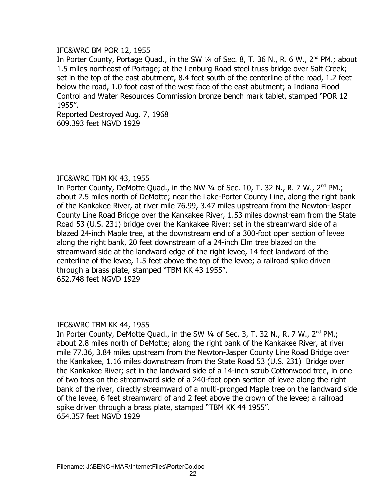# IFC&WRC BM POR 12, 1955

In Porter County, Portage Quad., in the SW 1/4 of Sec. 8, T. 36 N., R. 6 W., 2<sup>nd</sup> PM.; about 1.5 miles northeast of Portage; at the Lenburg Road steel truss bridge over Salt Creek; set in the top of the east abutment, 8.4 feet south of the centerline of the road, 1.2 feet below the road, 1.0 foot east of the west face of the east abutment; a Indiana Flood Control and Water Resources Commission bronze bench mark tablet, stamped "POR 12 1955".

Reported Destroyed Aug. 7, 1968 609.393 feet NGVD 1929

## IFC&WRC TBM KK 43, 1955

In Porter County, DeMotte Quad., in the NW  $\frac{1}{4}$  of Sec. 10, T. 32 N., R. 7 W.,  $2^{nd}$  PM.; about 2.5 miles north of DeMotte; near the Lake-Porter County Line, along the right bank of the Kankakee River, at river mile 76.99, 3.47 miles upstream from the Newton-Jasper County Line Road Bridge over the Kankakee River, 1.53 miles downstream from the State Road 53 (U.S. 231) bridge over the Kankakee River; set in the streamward side of a blazed 24-inch Maple tree, at the downstream end of a 300-foot open section of levee along the right bank, 20 feet downstream of a 24-inch Elm tree blazed on the streamward side at the landward edge of the right levee, 14 feet landward of the centerline of the levee, 1.5 feet above the top of the levee; a railroad spike driven through a brass plate, stamped "TBM KK 43 1955". 652.748 feet NGVD 1929

## IFC&WRC TBM KK 44, 1955

In Porter County, DeMotte Quad., in the SW  $\frac{1}{4}$  of Sec. 3, T. 32 N., R. 7 W.,  $2^{nd}$  PM.; about 2.8 miles north of DeMotte; along the right bank of the Kankakee River, at river mile 77.36, 3.84 miles upstream from the Newton-Jasper County Line Road Bridge over the Kankakee, 1.16 miles downstream from the State Road 53 (U.S. 231) Bridge over the Kankakee River; set in the landward side of a 14-inch scrub Cottonwood tree, in one of two tees on the streamward side of a 240-foot open section of levee along the right bank of the river, directly streamward of a multi-pronged Maple tree on the landward side of the levee, 6 feet streamward of and 2 feet above the crown of the levee; a railroad spike driven through a brass plate, stamped "TBM KK 44 1955". 654.357 feet NGVD 1929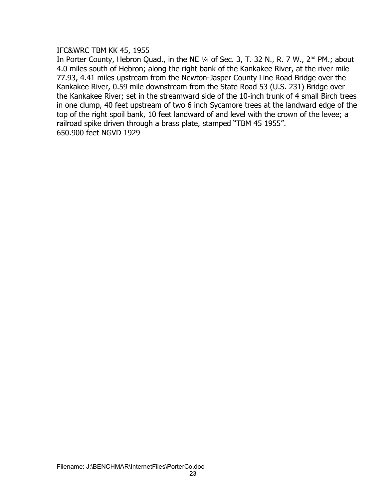IFC&WRC TBM KK 45, 1955

In Porter County, Hebron Quad., in the NE 1/4 of Sec. 3, T. 32 N., R. 7 W., 2<sup>nd</sup> PM.; about 4.0 miles south of Hebron; along the right bank of the Kankakee River, at the river mile 77.93, 4.41 miles upstream from the Newton-Jasper County Line Road Bridge over the Kankakee River, 0.59 mile downstream from the State Road 53 (U.S. 231) Bridge over the Kankakee River; set in the streamward side of the 10-inch trunk of 4 small Birch trees in one clump, 40 feet upstream of two 6 inch Sycamore trees at the landward edge of the top of the right spoil bank, 10 feet landward of and level with the crown of the levee; a railroad spike driven through a brass plate, stamped "TBM 45 1955". 650.900 feet NGVD 1929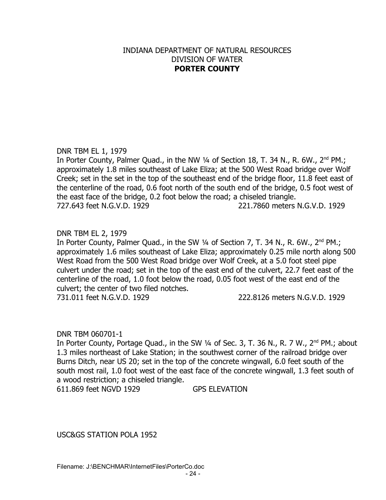# INDIANA DEPARTMENT OF NATURAL RESOURCES DIVISION OF WATER **PORTER COUNTY**

# DNR TBM EL 1, 1979

In Porter County, Palmer Quad., in the NW 1/4 of Section 18, T. 34 N., R. 6W., 2<sup>nd</sup> PM.; approximately 1.8 miles southeast of Lake Eliza; at the 500 West Road bridge over Wolf Creek; set in the set in the top of the southeast end of the bridge floor, 11.8 feet east of the centerline of the road, 0.6 foot north of the south end of the bridge, 0.5 foot west of the east face of the bridge, 0.2 foot below the road; a chiseled triangle. 727.643 feet N.G.V.D. 1929 221.7860 meters N.G.V.D. 1929

# DNR TBM EL 2, 1979

In Porter County, Palmer Quad., in the SW  $\frac{1}{4}$  of Section 7, T. 34 N., R. 6W.,  $2^{nd}$  PM.; approximately 1.6 miles southeast of Lake Eliza; approximately 0.25 mile north along 500 West Road from the 500 West Road bridge over Wolf Creek, at a 5.0 foot steel pipe culvert under the road; set in the top of the east end of the culvert, 22.7 feet east of the centerline of the road, 1.0 foot below the road, 0.05 foot west of the east end of the culvert; the center of two filed notches.

731.011 feet N.G.V.D. 1929 222.8126 meters N.G.V.D. 1929

## DNR TBM 060701-1

In Porter County, Portage Quad., in the SW ¼ of Sec. 3, T. 36 N., R. 7 W., 2<sup>nd</sup> PM.; about 1.3 miles northeast of Lake Station; in the southwest corner of the railroad bridge over Burns Ditch, near US 20; set in the top of the concrete wingwall, 6.0 feet south of the south most rail, 1.0 foot west of the east face of the concrete wingwall, 1.3 feet south of a wood restriction; a chiseled triangle.

611.869 feet NGVD 1929 GPS ELEVATION

USC&GS STATION POLA 1952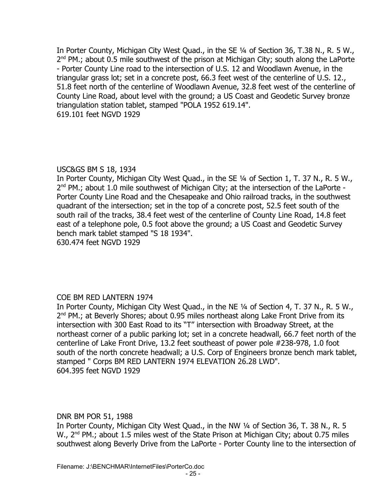In Porter County, Michigan City West Quad., in the SE ¼ of Section 36, T.38 N., R. 5 W., 2<sup>nd</sup> PM.; about 0.5 mile southwest of the prison at Michigan City; south along the LaPorte - Porter County Line road to the intersection of U.S. 12 and Woodlawn Avenue, in the triangular grass lot; set in a concrete post, 66.3 feet west of the centerline of U.S. 12., 51.8 feet north of the centerline of Woodlawn Avenue, 32.8 feet west of the centerline of County Line Road, about level with the ground; a US Coast and Geodetic Survey bronze triangulation station tablet, stamped "POLA 1952 619.14". 619.101 feet NGVD 1929

# USC&GS BM S 18, 1934

In Porter County, Michigan City West Quad., in the SE 1/4 of Section 1, T. 37 N., R. 5 W., 2<sup>nd</sup> PM.; about 1.0 mile southwest of Michigan City; at the intersection of the LaPorte -Porter County Line Road and the Chesapeake and Ohio railroad tracks, in the southwest quadrant of the intersection; set in the top of a concrete post, 52.5 feet south of the south rail of the tracks, 38.4 feet west of the centerline of County Line Road, 14.8 feet east of a telephone pole, 0.5 foot above the ground; a US Coast and Geodetic Survey bench mark tablet stamped "S 18 1934".

630.474 feet NGVD 1929

# COE BM RED LANTERN 1974

In Porter County, Michigan City West Quad., in the NE ¼ of Section 4, T. 37 N., R. 5 W., 2<sup>nd</sup> PM.; at Beverly Shores; about 0.95 miles northeast along Lake Front Drive from its intersection with 300 East Road to its "T" intersection with Broadway Street, at the northeast corner of a public parking lot; set in a concrete headwall, 66.7 feet north of the centerline of Lake Front Drive, 13.2 feet southeast of power pole #238-978, 1.0 foot south of the north concrete headwall; a U.S. Corp of Engineers bronze bench mark tablet, stamped " Corps BM RED LANTERN 1974 ELEVATION 26.28 LWD". 604.395 feet NGVD 1929

DNR BM POR 51, 1988

In Porter County, Michigan City West Quad., in the NW ¼ of Section 36, T. 38 N., R. 5 W., 2<sup>nd</sup> PM.; about 1.5 miles west of the State Prison at Michigan City; about 0.75 miles southwest along Beverly Drive from the LaPorte - Porter County line to the intersection of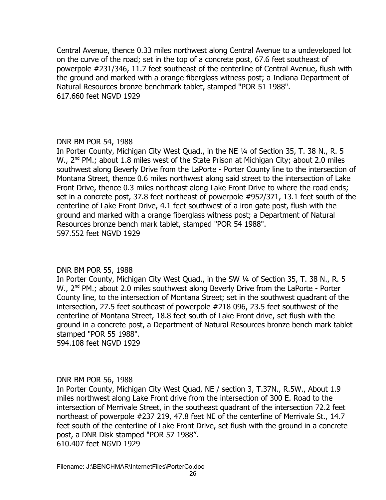Central Avenue, thence 0.33 miles northwest along Central Avenue to a undeveloped lot on the curve of the road; set in the top of a concrete post, 67.6 feet southeast of powerpole #231/346, 11.7 feet southeast of the centerline of Central Avenue, flush with the ground and marked with a orange fiberglass witness post; a Indiana Department of Natural Resources bronze benchmark tablet, stamped "POR 51 1988". 617.660 feet NGVD 1929

# DNR BM POR 54, 1988

In Porter County, Michigan City West Quad., in the NE ¼ of Section 35, T. 38 N., R. 5 W., 2<sup>nd</sup> PM.; about 1.8 miles west of the State Prison at Michigan City; about 2.0 miles southwest along Beverly Drive from the LaPorte - Porter County line to the intersection of Montana Street, thence 0.6 miles northwest along said street to the intersection of Lake Front Drive, thence 0.3 miles northeast along Lake Front Drive to where the road ends; set in a concrete post, 37.8 feet northeast of powerpole #952/371, 13.1 feet south of the centerline of Lake Front Drive, 4.1 feet southwest of a iron gate post, flush with the ground and marked with a orange fiberglass witness post; a Department of Natural Resources bronze bench mark tablet, stamped "POR 54 1988". 597.552 feet NGVD 1929

## DNR BM POR 55, 1988

In Porter County, Michigan City West Quad., in the SW ¼ of Section 35, T. 38 N., R. 5 W., 2<sup>nd</sup> PM.; about 2.0 miles southwest along Beverly Drive from the LaPorte - Porter County line, to the intersection of Montana Street; set in the southwest quadrant of the intersection, 27.5 feet southeast of powerpole #218 096, 23.5 feet southwest of the centerline of Montana Street, 18.8 feet south of Lake Front drive, set flush with the ground in a concrete post, a Department of Natural Resources bronze bench mark tablet stamped "POR 55 1988".

594.108 feet NGVD 1929

## DNR BM POR 56, 1988

In Porter County, Michigan City West Quad, NE / section 3, T.37N., R.5W., About 1.9 miles northwest along Lake Front drive from the intersection of 300 E. Road to the intersection of Merrivale Street, in the southeast quadrant of the intersection 72.2 feet northeast of powerpole #237 219, 47.8 feet NE of the centerline of Merrivale St., 14.7 feet south of the centerline of Lake Front Drive, set flush with the ground in a concrete post, a DNR Disk stamped "POR 57 1988". 610.407 feet NGVD 1929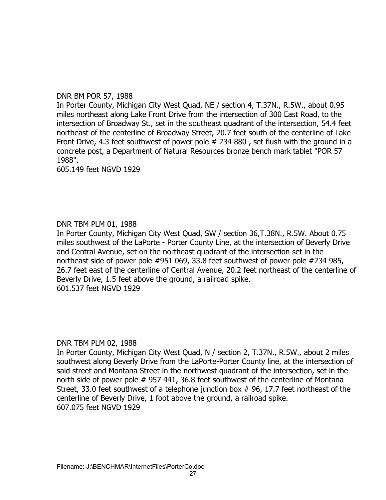# DNR BM POR 57, 1988

In Porter County, Michigan City West Quad, NE / section 4, T.37N., R.5W., about 0.95 miles northeast along Lake Front Drive from the intersection of 300 East Road, to the intersection of Broadway St., set in the southeast quadrant of the intersection, 54.4 feet northeast of the centerline of Broadway Street, 20.7 feet south of the centerline of Lake Front Drive, 4.3 feet southwest of power pole # 234 880 , set flush with the ground in a concrete post, a Department of Natural Resources bronze bench mark tablet "POR 57 1988".

605.149 feet NGVD 1929

# DNR TBM PLM 01, 1988

In Porter County, Michigan City West Quad, SW / section 36,T.38N., R.5W. About 0.75 miles southwest of the LaPorte - Porter County Line, at the intersection of Beverly Drive and Central Avenue, set on the northeast quadrant of the intersection set in the northeast side of power pole #951 069, 33.8 feet southwest of power pole #234 985, 26.7 feet east of the centerline of Central Avenue, 20.2 feet northeast of the centerline of Beverly Drive, 1.5 feet above the ground, a railroad spike. 601.537 feet NGVD 1929

## DNR TBM PLM 02, 1988

In Porter County, Michigan City West Quad, N / section 2, T.37N., R.5W., about 2 miles southwest along Beverly Drive from the LaPorte-Porter County line, at the intersection of said street and Montana Street in the northwest quadrant of the intersection, set in the north side of power pole # 957 441, 36.8 feet southwest of the centerline of Montana Street, 33.0 feet southwest of a telephone junction box # 96, 17.7 feet northeast of the centerline of Beverly Drive, 1 foot above the ground, a railroad spike. 607.075 feet NGVD 1929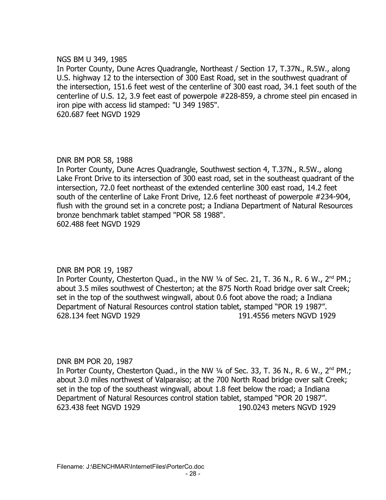## NGS BM U 349, 1985

In Porter County, Dune Acres Quadrangle, Northeast / Section 17, T.37N., R.5W., along U.S. highway 12 to the intersection of 300 East Road, set in the southwest quadrant of the intersection, 151.6 feet west of the centerline of 300 east road, 34.1 feet south of the centerline of U.S. 12, 3.9 feet east of powerpole #228-859, a chrome steel pin encased in iron pipe with access lid stamped: "U 349 1985". 620.687 feet NGVD 1929

## DNR BM POR 58, 1988

In Porter County, Dune Acres Quadrangle, Southwest section 4, T.37N., R.5W., along Lake Front Drive to its intersection of 300 east road, set in the southeast quadrant of the intersection, 72.0 feet northeast of the extended centerline 300 east road, 14.2 feet south of the centerline of Lake Front Drive, 12.6 feet northeast of powerpole #234-904, flush with the ground set in a concrete post; a Indiana Department of Natural Resources bronze benchmark tablet stamped "POR 58 1988". 602.488 feet NGVD 1929

## DNR BM POR 19, 1987

In Porter County, Chesterton Quad., in the NW  $\frac{1}{4}$  of Sec. 21, T. 36 N., R. 6 W., 2<sup>nd</sup> PM.; about 3.5 miles southwest of Chesterton; at the 875 North Road bridge over salt Creek; set in the top of the southwest wingwall, about 0.6 foot above the road; a Indiana Department of Natural Resources control station tablet, stamped "POR 19 1987". 628.134 feet NGVD 1929 191.4556 meters NGVD 1929

## DNR BM POR 20, 1987

In Porter County, Chesterton Quad., in the NW  $\frac{1}{4}$  of Sec. 33, T. 36 N., R. 6 W., 2<sup>nd</sup> PM.; about 3.0 miles northwest of Valparaiso; at the 700 North Road bridge over salt Creek; set in the top of the southeast wingwall, about 1.8 feet below the road; a Indiana Department of Natural Resources control station tablet, stamped "POR 20 1987". 623.438 feet NGVD 1929 190.0243 meters NGVD 1929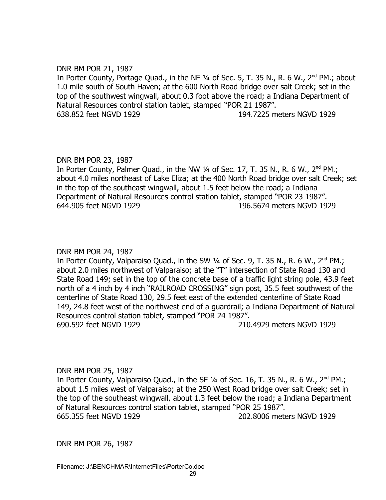# DNR BM POR 21, 1987

In Porter County, Portage Quad., in the NE 1/4 of Sec. 5, T. 35 N., R. 6 W., 2<sup>nd</sup> PM.; about 1.0 mile south of South Haven; at the 600 North Road bridge over salt Creek; set in the top of the southwest wingwall, about 0.3 foot above the road; a Indiana Department of Natural Resources control station tablet, stamped "POR 21 1987". 638.852 feet NGVD 1929 194.7225 meters NGVD 1929

# DNR BM POR 23, 1987

In Porter County, Palmer Quad., in the NW 1/4 of Sec. 17, T. 35 N., R. 6 W., 2<sup>nd</sup> PM.; about 4.0 miles northeast of Lake Eliza; at the 400 North Road bridge over salt Creek; set in the top of the southeast wingwall, about 1.5 feet below the road; a Indiana Department of Natural Resources control station tablet, stamped "POR 23 1987". 644.905 feet NGVD 1929 196.5674 meters NGVD 1929

# DNR BM POR 24, 1987

In Porter County, Valparaiso Quad., in the SW  $\frac{1}{4}$  of Sec. 9, T. 35 N., R. 6 W., 2<sup>nd</sup> PM.; about 2.0 miles northwest of Valparaiso; at the "T" intersection of State Road 130 and State Road 149; set in the top of the concrete base of a traffic light string pole, 43.9 feet north of a 4 inch by 4 inch "RAILROAD CROSSING" sign post, 35.5 feet southwest of the centerline of State Road 130, 29.5 feet east of the extended centerline of State Road 149, 24.8 feet west of the northwest end of a guardrail; a Indiana Department of Natural Resources control station tablet, stamped "POR 24 1987". 690.592 feet NGVD 1929 210.4929 meters NGVD 1929

## DNR BM POR 25, 1987

In Porter County, Valparaiso Quad., in the SE  $\frac{1}{4}$  of Sec. 16, T. 35 N., R. 6 W., 2<sup>nd</sup> PM.; about 1.5 miles west of Valparaiso; at the 250 West Road bridge over salt Creek; set in the top of the southeast wingwall, about 1.3 feet below the road; a Indiana Department of Natural Resources control station tablet, stamped "POR 25 1987". 665.355 feet NGVD 1929 202.8006 meters NGVD 1929

DNR BM POR 26, 1987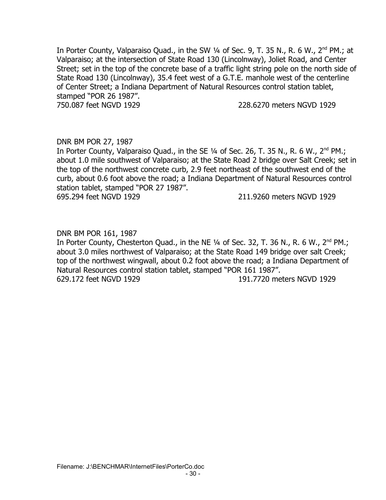In Porter County, Valparaiso Quad., in the SW 1/4 of Sec. 9, T. 35 N., R. 6 W., 2<sup>nd</sup> PM.; at Valparaiso; at the intersection of State Road 130 (Lincolnway), Joliet Road, and Center Street; set in the top of the concrete base of a traffic light string pole on the north side of State Road 130 (Lincolnway), 35.4 feet west of a G.T.E. manhole west of the centerline of Center Street; a Indiana Department of Natural Resources control station tablet, stamped "POR 26 1987".

750.087 feet NGVD 1929 228.6270 meters NGVD 1929

# DNR BM POR 27, 1987

In Porter County, Valparaiso Quad., in the SE  $\frac{1}{4}$  of Sec. 26, T. 35 N., R. 6 W., 2<sup>nd</sup> PM.; about 1.0 mile southwest of Valparaiso; at the State Road 2 bridge over Salt Creek; set in the top of the northwest concrete curb, 2.9 feet northeast of the southwest end of the curb, about 0.6 foot above the road; a Indiana Department of Natural Resources control station tablet, stamped "POR 27 1987". 695.294 feet NGVD 1929 211.9260 meters NGVD 1929

#### DNR BM POR 161, 1987

In Porter County, Chesterton Quad., in the NE  $\frac{1}{4}$  of Sec. 32, T. 36 N., R. 6 W., 2<sup>nd</sup> PM.; about 3.0 miles northwest of Valparaiso; at the State Road 149 bridge over salt Creek; top of the northwest wingwall, about 0.2 foot above the road; a Indiana Department of Natural Resources control station tablet, stamped "POR 161 1987". 629.172 feet NGVD 1929 191.7720 meters NGVD 1929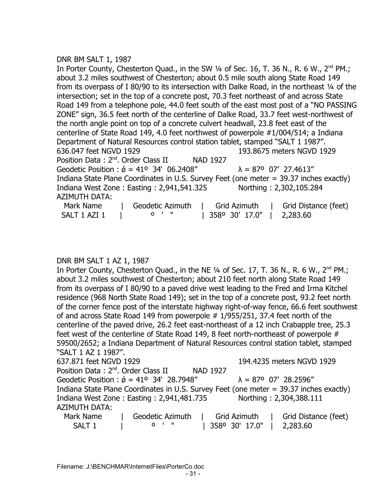## DNR BM SALT 1, 1987

In Porter County, Chesterton Quad., in the SW  $\frac{1}{4}$  of Sec. 16, T. 36 N., R. 6 W., 2<sup>nd</sup> PM.; about 3.2 miles southwest of Chesterton; about 0.5 mile south along State Road 149 from its overpass of I 80/90 to its intersection with Dalke Road, in the northeast 1/4 of the intersection; set in the top of a concrete post, 70.3 feet northeast of and across State Road 149 from a telephone pole, 44.0 feet south of the east most post of a "NO PASSING ZONE" sign, 36.5 feet north of the centerline of Dalke Road, 33.7 feet west-northwest of the north angle point on top of a concrete culvert headwall, 23.8 feet east of the centerline of State Road 149, 4.0 feet northwest of powerpole #1/004/514; a Indiana Department of Natural Resources control station tablet, stamped "SALT 1 1987". 636.047 feet NGVD 1929 193.8675 meters NGVD 1929 Position Data : 2<sup>nd</sup>. Order Class II NAD 1927 Geodetic Position :  $\acute{\sigma} = 41^{\circ}$  34' 06.2408"  $\lambda = 87^{\circ}$  07' 27.4613" Indiana State Plane Coordinates in U.S. Survey Feet (one meter = 39.37 inches exactly) Indiana West Zone : Easting : 2,941,541.325 Northing : 2,302,105.284 AZIMUTH DATA: Mark Name | Geodetic Azimuth | Grid Azimuth | Grid Distance (feet) SALT 1 AZI 1 | 0 ' " | 358º 30' 17.0" | 2,283.60

## DNR BM SALT 1 AZ 1, 1987

In Porter County, Chesterton Quad., in the NE  $\frac{1}{4}$  of Sec. 17, T. 36 N., R. 6 W., 2<sup>nd</sup> PM.; about 3.2 miles southwest of Chesterton; about 210 feet north along State Road 149 from its overpass of I 80/90 to a paved drive west leading to the Fred and Irma Kitchel residence (968 North State Road 149); set in the top of a concrete post, 93.2 feet north of the corner fence post of the interstate highway right-of-way fence, 66.6 feet southwest of and across State Road 149 from powerpole # 1/955/251, 37.4 feet north of the centerline of the paved drive, 26.2 feet east-northeast of a 12 inch Crabapple tree, 25.3 feet west of the centerline of State Road 149, 8 feet north-northeast of powerpole # 59500/2652; a Indiana Department of Natural Resources control station tablet, stamped "SALT 1 AZ 1 1987". 637.871 feet NGVD 1929 194.4235 meters NGVD 1929 Position Data: 2<sup>nd</sup>. Order Class II NAD 1927 Geodetic Position :  $\acute{\sigma}$  = 41° 34' 28.7948"  $\lambda$  = 87° 07' 28.2596" Indiana State Plane Coordinates in U.S. Survey Feet (one meter = 39.37 inches exactly) Indiana West Zone : Easting : 2,941,481.735 Northing : 2,304,388.111 AZIMUTH DATA: Mark Name | Geodetic Azimuth | Grid Azimuth | Grid Distance (feet) SALT 1 | º ' " | 358º 30' 17.0" | 2,283.60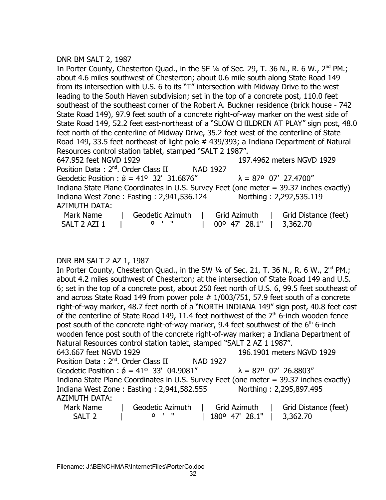## DNR BM SALT 2, 1987

In Porter County, Chesterton Quad., in the SE 1/4 of Sec. 29, T. 36 N., R. 6 W., 2<sup>nd</sup> PM.; about 4.6 miles southwest of Chesterton; about 0.6 mile south along State Road 149 from its intersection with U.S. 6 to its "T" intersection with Midway Drive to the west leading to the South Haven subdivision; set in the top of a concrete post, 110.0 feet southeast of the southeast corner of the Robert A. Buckner residence (brick house - 742 State Road 149), 97.9 feet south of a concrete right-of-way marker on the west side of State Road 149, 52.2 feet east-northeast of a "SLOW CHILDREN AT PLAY" sign post, 48.0 feet north of the centerline of Midway Drive, 35.2 feet west of the centerline of State Road 149, 33.5 feet northeast of light pole # 439/393; a Indiana Department of Natural Resources control station tablet, stamped "SALT 2 1987". 647.952 feet NGVD 1929 197.4962 meters NGVD 1929 Position Data: 2<sup>nd</sup>. Order Class II NAD 1927 Geodetic Position :  $\acute{\phi}$  = 41° 32' 31.6876"  $\lambda$  = 87° 07' 27.4700" Indiana State Plane Coordinates in U.S. Survey Feet (one meter = 39.37 inches exactly) Indiana West Zone : Easting : 2,941,536.124 Northing : 2,292,535.119 AZIMUTH DATA: Mark Name | Geodetic Azimuth | Grid Azimuth | Grid Distance (feet) SALT 2 AZI 1 0  $\cdot$  "  $\cdot$  0 00 47' 28.1" | 3,362.70

## DNR BM SALT 2 AZ 1, 1987

In Porter County, Chesterton Quad., in the SW  $\frac{1}{4}$  of Sec. 21, T. 36 N., R. 6 W., 2<sup>nd</sup> PM.; about 4.2 miles southwest of Chesterton; at the intersection of State Road 149 and U.S. 6; set in the top of a concrete post, about 250 feet north of U.S. 6, 99.5 feet southeast of and across State Road 149 from power pole # 1/003/751, 57.9 feet south of a concrete right-of-way marker, 48.7 feet north of a "NORTH INDIANA 149" sign post, 40.8 feet east of the centerline of State Road 149, 11.4 feet northwest of the  $7<sup>th</sup>$  6-inch wooden fence post south of the concrete right-of-way marker, 9.4 feet southwest of the  $6<sup>th</sup>$  6-inch wooden fence post south of the concrete right-of-way marker; a Indiana Department of Natural Resources control station tablet, stamped "SALT 2 AZ 1 1987". 643.667 feet NGVD 1929 196.1901 meters NGVD 1929 Position Data: 2<sup>nd</sup>. Order Class II NAD 1927 Geodetic Position :  $\acute{\theta}$  = 41° 33' 04.9081"  $\lambda$  = 87° 07' 26.8803" Indiana State Plane Coordinates in U.S. Survey Feet (one meter = 39.37 inches exactly) Indiana West Zone : Easting : 2,941,582.555 Northing : 2,295,897.495 AZIMUTH DATA: Mark Name | Geodetic Azimuth | Grid Azimuth | Grid Distance (feet) SALT 2 | <sup>0</sup> ' " | 180<sup>o</sup> 47' 28.1" | 3,362.70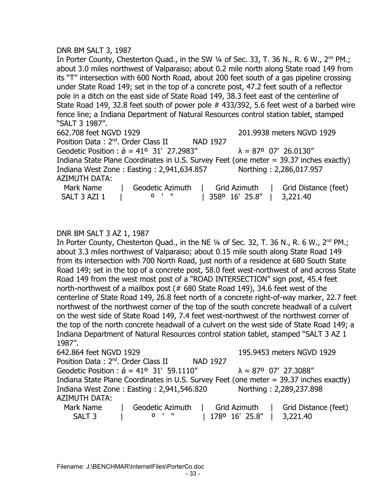## DNR BM SALT 3, 1987

In Porter County, Chesterton Quad., in the SW  $\frac{1}{4}$  of Sec. 33, T. 36 N., R. 6 W.,  $2^{nd}$  PM.; about 3.0 miles northwest of Valparaiso; about 0.2 mile north along State road 149 from its "T" intersection with 600 North Road, about 200 feet south of a gas pipeline crossing under State Road 149; set in the top of a concrete post, 47.2 feet south of a reflector pole in a ditch on the east side of State Road 149, 38.3 feet east of the centerline of State Road 149, 32.8 feet south of power pole # 433/392, 5.6 feet west of a barbed wire fence line; a Indiana Department of Natural Resources control station tablet, stamped "SALT 3 1987".

662.708 feet NGVD 1929 201.9938 meters NGVD 1929 Position Data: 2<sup>nd</sup>. Order Class II NAD 1927 Geodetic Position :  $\acute{\theta}$  = 41° 31' 27.2983"  $\lambda$  = 87° 07' 26.0130" Indiana State Plane Coordinates in U.S. Survey Feet (one meter = 39.37 inches exactly) Indiana West Zone : Easting : 2,941,634.857 Northing : 2,286,017.957 AZIMUTH DATA: Mark Name  $\begin{array}{c|c} | & \text{Geodetic Azimuth} \\ | & \text{Grid Azimuth} \\ | & \text{Grid Distance (feet)} \end{array}$ SALT 3 AZI 1 | 0 ' " | 358º 16' 25.8" | 3,221.40

## DNR BM SALT 3 AZ 1, 1987

In Porter County, Chesterton Quad., in the NE  $\frac{1}{4}$  of Sec. 32, T. 36 N., R. 6 W., 2<sup>nd</sup> PM.; about 3.3 miles northwest of Valparaiso; about 0.15 mile south along State Road 149 from its intersection with 700 North Road, just north of a residence at 680 South State Road 149; set in the top of a concrete post, 58.0 feet west-northwest of and across State Road 149 from the west most post of a "ROAD INTERSECTION" sign post, 45.4 feet north-northwest of a mailbox post (# 680 State Road 149), 34.6 feet west of the centerline of State Road 149, 26.8 feet north of a concrete right-of-way marker, 22.7 feet northwest of the northwest corner of the top of the south concrete headwall of a culvert on the west side of State Road 149, 7.4 feet west-northwest of the northwest corner of the top of the north concrete headwall of a culvert on the west side of State Road 149; a Indiana Department of Natural Resources control station tablet, stamped "SALT 3 AZ 1 1987".

| 642.864 feet NGVD 1929                          |                                                       |                 | 195.9453 meters NGVD 1929                                                              |
|-------------------------------------------------|-------------------------------------------------------|-----------------|----------------------------------------------------------------------------------------|
| Position Data: 2 <sup>nd</sup> . Order Class II |                                                       | <b>NAD 1927</b> |                                                                                        |
|                                                 | Geodetic Position : $\acute{\phi}$ = 41° 31' 59.1110" |                 | $\lambda = 87^{\circ}$ 07' 27.3088"                                                    |
|                                                 |                                                       |                 | Indiana State Plane Coordinates in U.S. Survey Feet (one meter = 39.37 inches exactly) |
|                                                 | Indiana West Zone: Easting: 2,941,546.820             |                 | Northing: 2,289,237.898                                                                |
| <b>AZIMUTH DATA:</b>                            |                                                       |                 |                                                                                        |
| Mark Name                                       | Geodetic Azimuth                                      | Grid Azimuth    | Grid Distance (feet)                                                                   |
| SALT <sub>3</sub>                               | $0$ $\blacksquare$                                    | 1780 16' 25.8"  | 3,221.40                                                                               |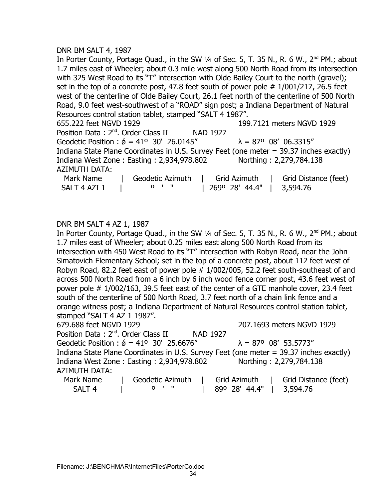#### DNR BM SALT 4, 1987

In Porter County, Portage Quad., in the SW 1/4 of Sec. 5, T. 35 N., R. 6 W., 2<sup>nd</sup> PM.; about 1.7 miles east of Wheeler; about 0.3 mile west along 500 North Road from its intersection with 325 West Road to its "T" intersection with Olde Bailey Court to the north (gravel); set in the top of a concrete post, 47.8 feet south of power pole  $# 1/001/217$ , 26.5 feet west of the centerline of Olde Bailey Court, 26.1 feet north of the centerline of 500 North Road, 9.0 feet west-southwest of a "ROAD" sign post; a Indiana Department of Natural Resources control station tablet, stamped "SALT 4 1987". 655.222 feet NGVD 1929 199.7121 meters NGVD 1929 Position Data: 2<sup>nd</sup>. Order Class II NAD 1927

Geodetic Position :  $\acute{\theta}$  = 41° 30' 26.0145"  $\lambda$  = 87° 08' 06.3315" Indiana State Plane Coordinates in U.S. Survey Feet (one meter = 39.37 inches exactly) Indiana West Zone : Easting : 2,934,978.802 Northing : 2,279,784.138 AZIMUTH DATA:

| Mark Name    | Geodetic Azimuth | Grid Azimuth              | Grid Distance (feet) |
|--------------|------------------|---------------------------|----------------------|
| SALT 4 AZI 1 | n ' "            | 269° 28′ 44.4″   3,594.76 |                      |

## DNR BM SALT 4 AZ 1, 1987

In Porter County, Portage Quad., in the SW 1/4 of Sec. 5, T. 35 N., R. 6 W., 2<sup>nd</sup> PM.; about 1.7 miles east of Wheeler; about 0.25 miles east along 500 North Road from its intersection with 450 West Road to its "T" intersection with Robyn Road, near the John Simatovich Elementary School; set in the top of a concrete post, about 112 feet west of Robyn Road, 82.2 feet east of power pole  $# 1/002/005$ , 52.2 feet south-southeast of and across 500 North Road from a 6 inch by 6 inch wood fence corner post, 43.6 feet west of power pole # 1/002/163, 39.5 feet east of the center of a GTE manhole cover, 23.4 feet south of the centerline of 500 North Road, 3.7 feet north of a chain link fence and a orange witness post; a Indiana Department of Natural Resources control station tablet, stamped "SALT 4 AZ 1 1987".

679.688 feet NGVD 1929 207.1693 meters NGVD 1929 Position Data: 2<sup>nd</sup>. Order Class II NAD 1927 Geodetic Position :  $\acute{\theta}$  = 41° 30' 25.6676"  $\lambda$  = 87° 08' 53.5773" Indiana State Plane Coordinates in U.S. Survey Feet (one meter = 39.37 inches exactly) Indiana West Zone : Easting : 2,934,978.802 Northing : 2,279,784.138 AZIMUTH DATA:

| Mark Name         | Geodetic Azimuth |        | Grid Azimuth                     | Grid Distance (feet) |
|-------------------|------------------|--------|----------------------------------|----------------------|
| SALT <sub>4</sub> |                  | יי י מ | $\vert$ 89° 28′ 44.4″   3,594.76 |                      |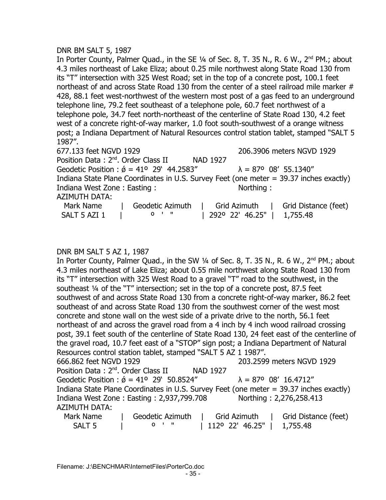## DNR BM SALT 5, 1987

In Porter County, Palmer Quad., in the SE 1/4 of Sec. 8, T. 35 N., R. 6 W., 2<sup>nd</sup> PM.; about 4.3 miles northeast of Lake Eliza; about 0.25 mile northwest along State Road 130 from its "T" intersection with 325 West Road; set in the top of a concrete post, 100.1 feet northeast of and across State Road 130 from the center of a steel railroad mile marker # 428, 88.1 feet west-northwest of the western most post of a gas feed to an underground telephone line, 79.2 feet southeast of a telephone pole, 60.7 feet northwest of a telephone pole, 34.7 feet north-northeast of the centerline of State Road 130, 4.2 feet west of a concrete right-of-way marker, 1.0 foot south-southwest of a orange witness post; a Indiana Department of Natural Resources control station tablet, stamped "SALT 5 1987".

677.133 feet NGVD 1929 206.3906 meters NGVD 1929 Position Data : 2<sup>nd</sup>. Order Class II NAD 1927 Geodetic Position :  $\acute{\sigma} = 41^{\circ}$  29' 44.2583"  $\lambda = 87^{\circ}$  08' 55.1340" Indiana State Plane Coordinates in U.S. Survey Feet (one meter = 39.37 inches exactly) Indiana West Zone : Easting : Northing : AZIMUTH DATA: Mark Name | Geodetic Azimuth | Grid Azimuth | Grid Distance (feet) SALT 5 AZI 1 | 0 ' " | 292º 22' 46.25" | 1,755.48

## DNR BM SALT 5 AZ 1, 1987

In Porter County, Palmer Quad., in the SW 1/4 of Sec. 8, T. 35 N., R. 6 W., 2<sup>nd</sup> PM.; about 4.3 miles northeast of Lake Eliza; about 0.55 mile northwest along State Road 130 from its "T" intersection with 325 West Road to a gravel "T" road to the southwest, in the southeast ¼ of the "T" intersection; set in the top of a concrete post, 87.5 feet southwest of and across State Road 130 from a concrete right-of-way marker, 86.2 feet southeast of and across State Road 130 from the southwest corner of the west most concrete and stone wall on the west side of a private drive to the north, 56.1 feet northeast of and across the gravel road from a 4 inch by 4 inch wood railroad crossing post, 39.1 feet south of the centerline of State Road 130, 24 feet east of the centerline of the gravel road, 10.7 feet east of a "STOP" sign post; a Indiana Department of Natural Resources control station tablet, stamped "SALT 5 AZ 1 1987". 666.862 feet NGVD 1929 203.2599 meters NGVD 1929 Position Data: 2<sup>nd</sup>. Order Class II NAD 1927 Geodetic Position :  $\acute{\phi}$  = 41° 29' 50.8524"  $\lambda$  = 87° 08' 16.4712" Indiana State Plane Coordinates in U.S. Survey Feet (one meter = 39.37 inches exactly) Indiana West Zone : Easting : 2,937,799.708 Northing : 2,276,258.413 AZIMUTH DATA: Mark Name | Geodetic Azimuth | Grid Azimuth | Grid Distance (feet) SALT 5 | 0 ' " | 112º 22' 46.25" | 1,755.48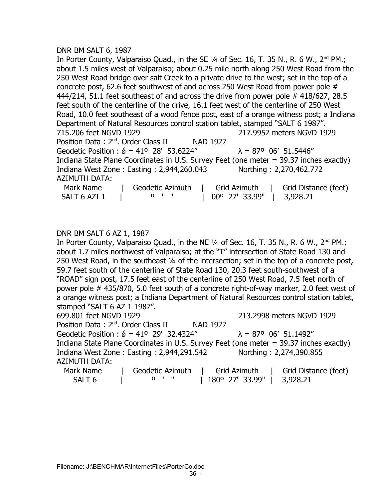#### DNR BM SALT 6, 1987

In Porter County, Valparaiso Quad., in the SE 1/4 of Sec. 16, T. 35 N., R. 6 W., 2<sup>nd</sup> PM.; about 1.5 miles west of Valparaiso; about 0.25 mile north along 250 West Road from the 250 West Road bridge over salt Creek to a private drive to the west; set in the top of a concrete post, 62.6 feet southwest of and across 250 West Road from power pole # 444/214, 51.1 feet southeast of and across the drive from power pole # 418/627, 28.5 feet south of the centerline of the drive, 16.1 feet west of the centerline of 250 West Road, 10.0 feet southeast of a wood fence post, east of a orange witness post; a Indiana Department of Natural Resources control station tablet, stamped "SALT 6 1987". 715.206 feet NGVD 1929 217.9952 meters NGVD 1929 Position Data: 2<sup>nd</sup>. Order Class II NAD 1927 Geodetic Position :  $\acute{\theta}$  = 41° 28' 53.6224"  $\lambda$  = 87° 06' 51.5446" Indiana State Plane Coordinates in U.S. Survey Feet (one meter = 39.37 inches exactly) Indiana West Zone : Easting : 2,944,260.043 Northing : 2,270,462.772 AZIMUTH DATA: Mark Name | Geodetic Azimuth | Grid Azimuth | Grid Distance (feet) SALT 6 AZI 1 | 0 ' " | 00º 27' 33.99" | 3,928.21

## DNR BM SALT 6 AZ 1, 1987

In Porter County, Valparaiso Quad., in the NE  $\frac{1}{4}$  of Sec. 16, T. 35 N., R. 6 W., 2<sup>nd</sup> PM.; about 1.7 miles northwest of Valparaiso; at the "T" intersection of State Road 130 and 250 West Road, in the southeast ¼ of the intersection; set in the top of a concrete post, 59.7 feet south of the centerline of State Road 130, 20.3 feet south-southwest of a "ROAD" sign post, 17.5 feet east of the centerline of 250 West Road, 7.5 feet north of power pole # 435/870, 5.0 feet south of a concrete right-of-way marker, 2.0 feet west of a orange witness post; a Indiana Department of Natural Resources control station tablet, stamped "SALT 6 AZ 1 1987".

699.801 feet NGVD 1929 213.2998 meters NGVD 1929 Position Data: 2<sup>nd</sup>. Order Class II NAD 1927 Geodetic Position :  $\acute{\sigma} = 41^{\circ}$  29' 32.4324"  $\lambda = 87^{\circ}$  06' 51.1492" Indiana State Plane Coordinates in U.S. Survey Feet (one meter = 39.37 inches exactly) Indiana West Zone : Easting : 2,944,291.542 Northing : 2,274,390.855 AZIMUTH DATA:

| Mark Name | Geodetic Azimuth | Grid Azimuth    | Grid Distance (feet) |
|-----------|------------------|-----------------|----------------------|
| SALT 6    |                  | l 180°27'33.99" | 3,928.21             |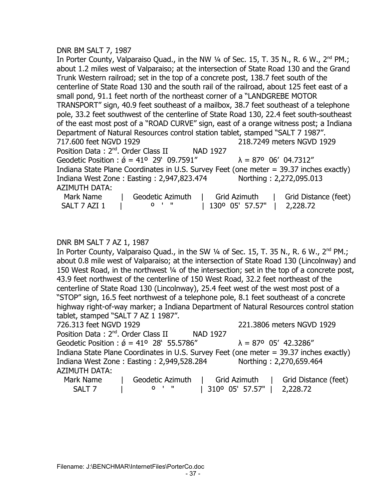#### DNR BM SALT 7, 1987

In Porter County, Valparaiso Quad., in the NW  $\frac{1}{4}$  of Sec. 15, T. 35 N., R. 6 W., 2<sup>nd</sup> PM.; about 1.2 miles west of Valparaiso; at the intersection of State Road 130 and the Grand Trunk Western railroad; set in the top of a concrete post, 138.7 feet south of the centerline of State Road 130 and the south rail of the railroad, about 125 feet east of a small pond, 91.1 feet north of the northeast corner of a "LANDGREBE MOTOR TRANSPORT" sign, 40.9 feet southeast of a mailbox, 38.7 feet southeast of a telephone pole, 33.2 feet southwest of the centerline of State Road 130, 22.4 feet south-southeast of the east most post of a "ROAD CURVE" sign, east of a orange witness post; a Indiana Department of Natural Resources control station tablet, stamped "SALT 7 1987". 717.600 feet NGVD 1929 218.7249 meters NGVD 1929 Position Data: 2<sup>nd</sup>. Order Class II NAD 1927 Geodetic Position :  $\acute{\phi}$  = 41° 29' 09.7591"  $\lambda$  = 87° 06' 04.7312" Indiana State Plane Coordinates in U.S. Survey Feet (one meter = 39.37 inches exactly) Indiana West Zone : Easting : 2,947,823.474 Northing : 2,272,095.013 AZIMUTH DATA: Mark Name | Geodetic Azimuth | Grid Azimuth | Grid Distance (feet) SALT 7 AZI 1 | 0 ' " | 130º 05' 57.57" | 2,228.72

#### DNR BM SALT 7 AZ 1, 1987

In Porter County, Valparaiso Quad., in the SW  $\frac{1}{4}$  of Sec. 15, T. 35 N., R. 6 W., 2<sup>nd</sup> PM.; about 0.8 mile west of Valparaiso; at the intersection of State Road 130 (Lincolnway) and 150 West Road, in the northwest ¼ of the intersection; set in the top of a concrete post, 43.9 feet northwest of the centerline of 150 West Road, 32.2 feet northeast of the centerline of State Road 130 (Lincolnway), 25.4 feet west of the west most post of a "STOP" sign, 16.5 feet northwest of a telephone pole, 8.1 feet southeast of a concrete highway right-of-way marker; a Indiana Department of Natural Resources control station tablet, stamped "SALT 7 AZ 1 1987".

726.313 feet NGVD 1929 221.3806 meters NGVD 1929 Position Data: 2<sup>nd</sup>. Order Class II NAD 1927 Geodetic Position :  $\acute{\theta}$  = 41° 28' 55.5786"  $\lambda$  = 87° 05' 42.3286" Indiana State Plane Coordinates in U.S. Survey Feet (one meter = 39.37 inches exactly) Indiana West Zone : Easting : 2,949,528.284 Northing : 2,270,659.464 AZIMUTH DATA:

| Mark Name         | Geodetic Azimuth | Grid Azimuth                                         | Grid Distance (feet) |
|-------------------|------------------|------------------------------------------------------|----------------------|
| SALT <sub>7</sub> | <u>n ' "</u>     | $\vert$ 310 <sup>o</sup> 05' 57.57" $\vert$ 2,228.72 |                      |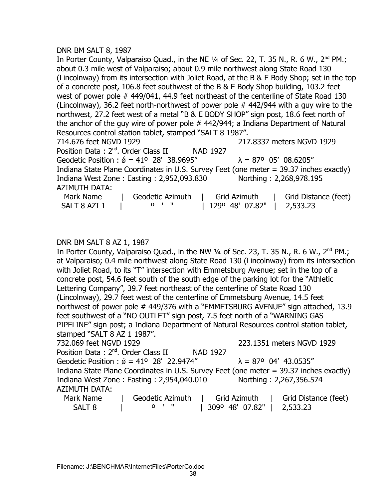## DNR BM SALT 8, 1987

In Porter County, Valparaiso Quad., in the NE  $\frac{1}{4}$  of Sec. 22, T. 35 N., R. 6 W., 2<sup>nd</sup> PM.; about 0.3 mile west of Valparaiso; about 0.9 mile northwest along State Road 130 (Lincolnway) from its intersection with Joliet Road, at the B & E Body Shop; set in the top of a concrete post, 106.8 feet southwest of the B & E Body Shop building, 103.2 feet west of power pole # 449/041, 44.9 feet northeast of the centerline of State Road 130 (Lincolnway), 36.2 feet north-northwest of power pole  $#$  442/944 with a guy wire to the northwest, 27.2 feet west of a metal "B & E BODY SHOP" sign post, 18.6 feet north of the anchor of the guy wire of power pole # 442/944; a Indiana Department of Natural Resources control station tablet, stamped "SALT 8 1987". 714.676 feet NGVD 1929 217.8337 meters NGVD 1929 Position Data: 2<sup>nd</sup>. Order Class II NAD 1927 Geodetic Position :  $\acute{\theta} = 41^{\circ}$  28' 38.9695"  $\lambda = 87^{\circ}$  05' 08.6205" Indiana State Plane Coordinates in U.S. Survey Feet (one meter = 39.37 inches exactly) Indiana West Zone : Easting : 2,952,093.830 Northing : 2,268,978.195 AZIMUTH DATA:

| Л4119 III <i>У</i> ЛІЛІ |                  |                 |                      |
|-------------------------|------------------|-----------------|----------------------|
| Mark Name               | Geodetic Azimuth | Grid Azimuth    | Grid Distance (feet) |
| SALT 8 AZI 1            | <u>0'' "</u>     | 129° 48' 07.82" | 2,533.23             |

#### DNR BM SALT 8 AZ 1, 1987

In Porter County, Valparaiso Quad., in the NW  $\frac{1}{4}$  of Sec. 23, T. 35 N., R. 6 W., 2<sup>nd</sup> PM.; at Valparaiso; 0.4 mile northwest along State Road 130 (Lincolnway) from its intersection with Joliet Road, to its "T" intersection with Emmetsburg Avenue; set in the top of a concrete post, 54.6 feet south of the south edge of the parking lot for the "Athletic Lettering Company", 39.7 feet northeast of the centerline of State Road 130 (Lincolnway), 29.7 feet west of the centerline of Emmetsburg Avenue, 14.5 feet northwest of power pole # 449/376 with a "EMMETSBURG AVENUE" sign attached, 13.9 feet southwest of a "NO OUTLET" sign post, 7.5 feet north of a "WARNING GAS PIPELINE" sign post; a Indiana Department of Natural Resources control station tablet, stamped "SALT 8 AZ 1 1987".

732.069 feet NGVD 1929 223.1351 meters NGVD 1929

| Position Data: 2 <sup>nd</sup> , Order Class II<br>NAD 1927                                  |
|----------------------------------------------------------------------------------------------|
| Geodetic Position : $\acute{\phi}$ = 41° 28' 22.9474"<br>$\lambda = 87^{\circ}$ 04' 43.0535" |
| Indiana State Plane Coordinates in U.S. Survey Feet (one meter = 39.37 inches exactly)       |
| Northing: 2,267,356.574<br>Indiana West Zone: Easting: 2,954,040.010                         |
| AZIMUTH DATA:                                                                                |
|                                                                                              |

| Mark Name | Geodetic Azimuth | Grid Azimuth               | Grid Distance (feet) |
|-----------|------------------|----------------------------|----------------------|
| SALT 8    |                  | 309° 48′ 07.82″   2,533.23 |                      |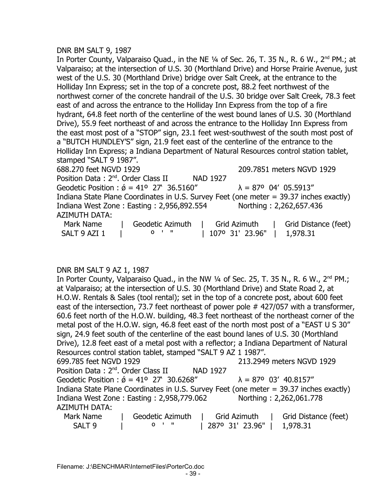## DNR BM SALT 9, 1987

In Porter County, Valparaiso Quad., in the NE 1/4 of Sec. 26, T. 35 N., R. 6 W., 2<sup>nd</sup> PM.; at Valparaiso; at the intersection of U.S. 30 (Morthland Drive) and Horse Prairie Avenue, just west of the U.S. 30 (Morthland Drive) bridge over Salt Creek, at the entrance to the Holliday Inn Express; set in the top of a concrete post, 88.2 feet northwest of the northwest corner of the concrete handrail of the U.S. 30 bridge over Salt Creek, 78.3 feet east of and across the entrance to the Holliday Inn Express from the top of a fire hydrant, 64.8 feet north of the centerline of the west bound lanes of U.S. 30 (Morthland Drive), 55.9 feet northeast of and across the entrance to the Holliday Inn Express from the east most post of a "STOP" sign, 23.1 feet west-southwest of the south most post of a "BUTCH HUNDLEY'S" sign, 21.9 feet east of the centerline of the entrance to the Holliday Inn Express; a Indiana Department of Natural Resources control station tablet, stamped "SALT 9 1987".

688.270 feet NGVD 1929 209.7851 meters NGVD 1929 Position Data: 2<sup>nd</sup>. Order Class II NAD 1927 Geodetic Position :  $\acute{\phi}$  = 41° 27' 36.5160"  $\lambda$  = 87° 04' 05.5913" Indiana State Plane Coordinates in U.S. Survey Feet (one meter = 39.37 inches exactly) Indiana West Zone : Easting : 2,956,892.554 Northing : 2,262,657.436 AZIMUTH DATA: Mark Name | Geodetic Azimuth | Grid Azimuth | Grid Distance (feet) SALT 9 AZI 1 | 0 ' " | 107º 31' 23.96" | 1,978.31

## DNR BM SALT 9 AZ 1, 1987

In Porter County, Valparaiso Quad., in the NW  $\frac{1}{4}$  of Sec. 25, T. 35 N., R. 6 W., 2<sup>nd</sup> PM.; at Valparaiso; at the intersection of U.S. 30 (Morthland Drive) and State Road 2, at H.O.W. Rentals & Sales (tool rental); set in the top of a concrete post, about 600 feet east of the intersection, 73.7 feet northeast of power pole #427/057 with a transformer, 60.6 feet north of the H.O.W. building, 48.3 feet northeast of the northeast corner of the metal post of the H.O.W. sign, 46.8 feet east of the north most post of a "EAST U S 30" sign, 24.9 feet south of the centerline of the east bound lanes of U.S. 30 (Morthland Drive), 12.8 feet east of a metal post with a reflector; a Indiana Department of Natural Resources control station tablet, stamped "SALT 9 AZ 1 1987". 699.785 feet NGVD 1929 213.2949 meters NGVD 1929 Position Data: 2<sup>nd</sup>. Order Class II NAD 1927 Geodetic Position :  $\acute{\phi}$  = 41° 27' 30.6268"  $\lambda$  = 87° 03' 40.8157" Indiana State Plane Coordinates in U.S. Survey Feet (one meter = 39.37 inches exactly) Indiana West Zone : Easting : 2,958,779.062 Northing : 2,262,061.778 AZIMUTH DATA: Mark Name | Geodetic Azimuth | Grid Azimuth | Grid Distance (feet) SALT 9 | 0 ' " | 287º 31' 23.96" | 1,978.31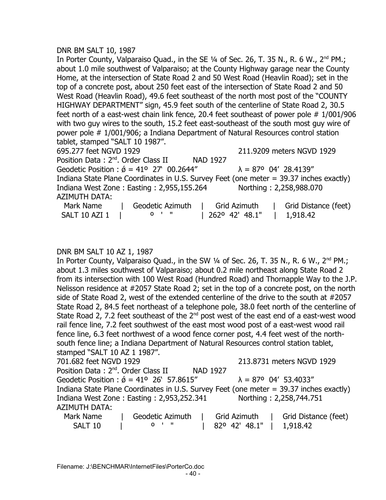## DNR BM SALT 10, 1987

In Porter County, Valparaiso Quad., in the SE  $\frac{1}{4}$  of Sec. 26, T. 35 N., R. 6 W., 2<sup>nd</sup> PM.; about 1.0 mile southwest of Valparaiso; at the County Highway garage near the County Home, at the intersection of State Road 2 and 50 West Road (Heavlin Road); set in the top of a concrete post, about 250 feet east of the intersection of State Road 2 and 50 West Road (Heavlin Road), 49.6 feet southeast of the north most post of the "COUNTY HIGHWAY DEPARTMENT" sign, 45.9 feet south of the centerline of State Road 2, 30.5 feet north of a east-west chain link fence, 20.4 feet southeast of power pole # 1/001/906 with two guy wires to the south, 15.2 feet east-southeast of the south most guy wire of power pole # 1/001/906; a Indiana Department of Natural Resources control station tablet, stamped "SALT 10 1987". 695.277 feet NGVD 1929 211.9209 meters NGVD 1929 Position Data : 2<sup>nd</sup>. Order Class II NAD 1927 Geodetic Position :  $\acute{\sigma} = 41^{\circ}$  27' 00.2644"  $\lambda = 87^{\circ}$  04' 28.4139" Indiana State Plane Coordinates in U.S. Survey Feet (one meter = 39.37 inches exactly) Indiana West Zone : Easting : 2,955,155.264 Northing : 2,258,988.070 AZIMUTH DATA:

| Mark Name     | Geodetic Azimuth   Grid Azimuth |                           | Grid Distance (feet) |
|---------------|---------------------------------|---------------------------|----------------------|
| SALT 10 AZI 1 | 0'' "                           | 262° 42′ 48.1″   1,918.42 |                      |

## DNR BM SALT 10 AZ 1, 1987

In Porter County, Valparaiso Quad., in the SW 1/4 of Sec. 26, T. 35 N., R. 6 W., 2<sup>nd</sup> PM.; about 1.3 miles southwest of Valparaiso; about 0.2 mile northeast along State Road 2 from its intersection with 100 West Road (Hundred Road) and Thornapple Way to the J.P. Nelisson residence at #2057 State Road 2; set in the top of a concrete post, on the north side of State Road 2, west of the extended centerline of the drive to the south at #2057 State Road 2, 84.5 feet northeast of a telephone pole, 38.0 feet north of the centerline of State Road 2, 7.2 feet southeast of the  $2<sup>nd</sup>$  post west of the east end of a east-west wood rail fence line, 7.2 feet southwest of the east most wood post of a east-west wood rail fence line, 6.3 feet northwest of a wood fence corner post, 4.4 feet west of the northsouth fence line; a Indiana Department of Natural Resources control station tablet, stamped "SALT 10 AZ 1 1987". 701.682 feet NGVD 1929 213.8731 meters NGVD 1929 Position Data: 2<sup>nd</sup>. Order Class II NAD 1927 Geodetic Position :  $\acute{\phi}$  = 41° 26' 57.8615"  $\lambda$  = 87° 04' 53.4033" Indiana State Plane Coordinates in U.S. Survey Feet (one meter = 39.37 inches exactly) Indiana West Zone: Easting: 2,953,252.341 Northing: 2,258,744.751

# AZIMUTH DATA:

Mark Name | Geodetic Azimuth | Grid Azimuth | Grid Distance (feet) SALT 10 | 0 ' " | 82º 42' 48.1" | 1,918.42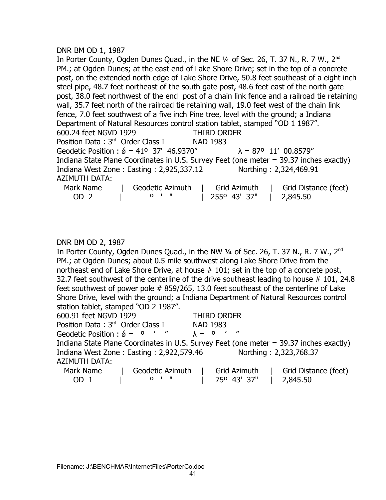## DNR BM OD 1, 1987

In Porter County, Ogden Dunes Quad., in the NE 1/4 of Sec. 26, T. 37 N., R. 7 W., 2<sup>nd</sup> PM.; at Ogden Dunes; at the east end of Lake Shore Drive; set in the top of a concrete post, on the extended north edge of Lake Shore Drive, 50.8 feet southeast of a eight inch steel pipe, 48.7 feet northeast of the south gate post, 48.6 feet east of the north gate post, 38.0 feet northwest of the end post of a chain link fence and a railroad tie retaining wall, 35.7 feet north of the railroad tie retaining wall, 19.0 feet west of the chain link fence, 7.0 feet southwest of a five inch Pine tree, level with the ground; a Indiana Department of Natural Resources control station tablet, stamped "OD 1 1987". 600.24 feet NGVD 1929 THIRD ORDER Position Data: 3<sup>rd</sup> Order Class I NAD 1983 Geodetic Position :  $\acute{\phi}$  = 41° 37' 46.9370"  $\lambda$  = 87° 11' 00.8579" Indiana State Plane Coordinates in U.S. Survey Feet (one meter = 39.37 inches exactly) Indiana West Zone : Easting : 2,925,337.12 Northing : 2,324,469.91 AZIMUTH DATA: Mark Name | Geodetic Azimuth | Grid Azimuth | Grid Distance (feet) OD 2 | º ' " | 255º 43' 37" | 2,845.50

## DNR BM OD 2, 1987

In Porter County, Ogden Dunes Quad., in the NW  $\frac{1}{4}$  of Sec. 26, T. 37 N., R. 7 W., 2<sup>nd</sup> PM.; at Ogden Dunes; about 0.5 mile southwest along Lake Shore Drive from the northeast end of Lake Shore Drive, at house # 101; set in the top of a concrete post, 32.7 feet southwest of the centerline of the drive southeast leading to house  $# 101, 24.8$ feet southwest of power pole # 859/265, 13.0 feet southeast of the centerline of Lake Shore Drive, level with the ground; a Indiana Department of Natural Resources control station tablet, stamped "OD 2 1987".

| 600.91 feet NGVD 1929                            | <b>THIRD ORDER</b>                                                                                                                                                                                                                |
|--------------------------------------------------|-----------------------------------------------------------------------------------------------------------------------------------------------------------------------------------------------------------------------------------|
| Position Data: 3rd Order Class I                 | NAD 1983                                                                                                                                                                                                                          |
| Geodetic Position : $\acute{\phi} = 0$ $\cdot$ " | $\lambda = 0$ ' "                                                                                                                                                                                                                 |
|                                                  | Indiana State Plane Coordinates in U.S. Survey Feet (one meter = 39.37 inches exactly)                                                                                                                                            |
| Indiana West Zone: Easting: 2,922,579.46         | Northing: 2,323,768.37                                                                                                                                                                                                            |
| <b>AZIMUTH DATA:</b>                             |                                                                                                                                                                                                                                   |
|                                                  | $\mathbf{M}$ is the contract of the contract of the contract of the contract of the contract of the contract of the contract of the contract of the contract of the contract of the contract of the contract of the contract of t |

| Mark Name | Geodetic Azimuth | Grid Azimuth | Grid Distance (feet) |
|-----------|------------------|--------------|----------------------|
| OD.       |                  | 750 43' 37"  | $\mid$ 2,845.50      |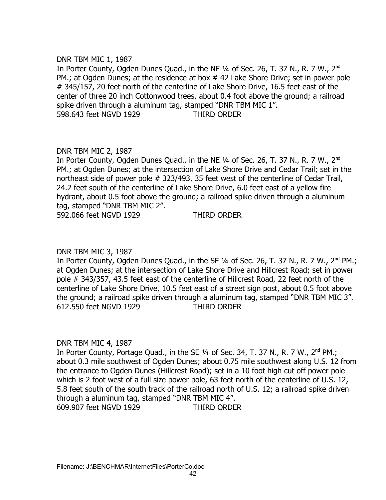## DNR TBM MIC 1, 1987

In Porter County, Ogden Dunes Quad., in the NE  $\frac{1}{4}$  of Sec. 26, T. 37 N., R. 7 W., 2<sup>nd</sup> PM.; at Ogden Dunes; at the residence at box  $#$  42 Lake Shore Drive; set in power pole # 345/157, 20 feet north of the centerline of Lake Shore Drive, 16.5 feet east of the center of three 20 inch Cottonwood trees, about 0.4 foot above the ground; a railroad spike driven through a aluminum tag, stamped "DNR TBM MIC 1". 598.643 feet NGVD 1929 THIRD ORDER

# DNR TBM MIC 2, 1987

In Porter County, Ogden Dunes Quad., in the NE 1/4 of Sec. 26, T. 37 N., R. 7 W., 2<sup>nd</sup> PM.; at Ogden Dunes; at the intersection of Lake Shore Drive and Cedar Trail; set in the northeast side of power pole # 323/493, 35 feet west of the centerline of Cedar Trail, 24.2 feet south of the centerline of Lake Shore Drive, 6.0 feet east of a yellow fire hydrant, about 0.5 foot above the ground; a railroad spike driven through a aluminum tag, stamped "DNR TBM MIC 2".

592.066 feet NGVD 1929 THIRD ORDER

## DNR TBM MIC 3, 1987

In Porter County, Ogden Dunes Quad., in the SE 1/4 of Sec. 26, T. 37 N., R. 7 W., 2<sup>nd</sup> PM.; at Ogden Dunes; at the intersection of Lake Shore Drive and Hillcrest Road; set in power pole # 343/357, 43.5 feet east of the centerline of Hillcrest Road, 22 feet north of the centerline of Lake Shore Drive, 10.5 feet east of a street sign post, about 0.5 foot above the ground; a railroad spike driven through a aluminum tag, stamped "DNR TBM MIC 3". 612.550 feet NGVD 1929 THIRD ORDER

## DNR TBM MIC 4, 1987

In Porter County, Portage Quad., in the SE 1/4 of Sec. 34, T. 37 N., R. 7 W., 2<sup>nd</sup> PM.; about 0.3 mile southwest of Ogden Dunes; about 0.75 mile southwest along U.S. 12 from the entrance to Ogden Dunes (Hillcrest Road); set in a 10 foot high cut off power pole which is 2 foot west of a full size power pole, 63 feet north of the centerline of U.S. 12, 5.8 feet south of the south track of the railroad north of U.S. 12; a railroad spike driven through a aluminum tag, stamped "DNR TBM MIC 4". 609.907 feet NGVD 1929 THIRD ORDER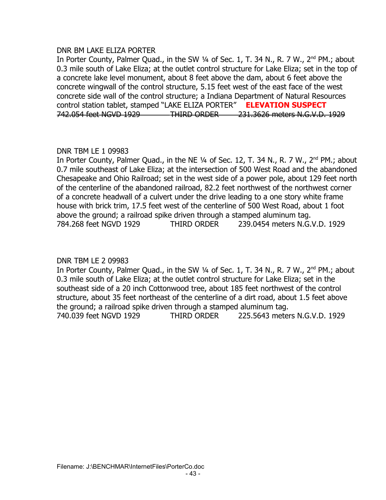## DNR BM LAKE ELIZA PORTER

In Porter County, Palmer Quad., in the SW 1/4 of Sec. 1, T. 34 N., R. 7 W., 2<sup>nd</sup> PM.; about 0.3 mile south of Lake Eliza; at the outlet control structure for Lake Eliza; set in the top of a concrete lake level monument, about 8 feet above the dam, about 6 feet above the concrete wingwall of the control structure, 5.15 feet west of the east face of the west concrete side wall of the control structure; a Indiana Department of Natural Resources control station tablet, stamped "LAKE ELIZA PORTER" **ELEVATION SUSPECT** 742.054 feet NGVD 1929 THIRD ORDER 231.3626 meters N.G.V.D. 1929

# DNR TBM LE 1 09983

In Porter County, Palmer Quad., in the NE 1/4 of Sec. 12, T. 34 N., R. 7 W., 2<sup>nd</sup> PM.; about 0.7 mile southeast of Lake Eliza; at the intersection of 500 West Road and the abandoned Chesapeake and Ohio Railroad; set in the west side of a power pole, about 129 feet north of the centerline of the abandoned railroad, 82.2 feet northwest of the northwest corner of a concrete headwall of a culvert under the drive leading to a one story white frame house with brick trim, 17.5 feet west of the centerline of 500 West Road, about 1 foot above the ground; a railroad spike driven through a stamped aluminum tag. 784.268 feet NGVD 1929 THIRD ORDER 239.0454 meters N.G.V.D. 1929

# DNR TBM LE 2 09983

In Porter County, Palmer Quad., in the SW 1/4 of Sec. 1, T. 34 N., R. 7 W., 2<sup>nd</sup> PM.; about 0.3 mile south of Lake Eliza; at the outlet control structure for Lake Eliza; set in the southeast side of a 20 inch Cottonwood tree, about 185 feet northwest of the control structure, about 35 feet northeast of the centerline of a dirt road, about 1.5 feet above the ground; a railroad spike driven through a stamped aluminum tag. 740.039 feet NGVD 1929 THIRD ORDER 225.5643 meters N.G.V.D. 1929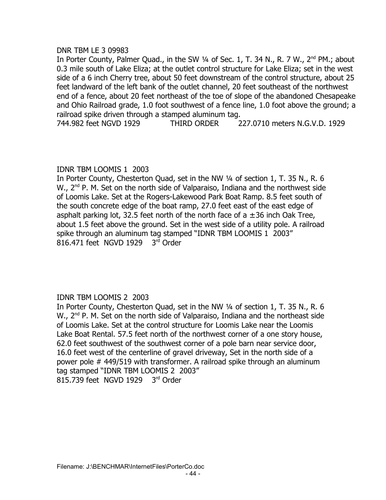## DNR TBM LE 3 09983

In Porter County, Palmer Quad., in the SW 1/4 of Sec. 1, T. 34 N., R. 7 W., 2<sup>nd</sup> PM.; about 0.3 mile south of Lake Eliza; at the outlet control structure for Lake Eliza; set in the west side of a 6 inch Cherry tree, about 50 feet downstream of the control structure, about 25 feet landward of the left bank of the outlet channel, 20 feet southeast of the northwest end of a fence, about 20 feet northeast of the toe of slope of the abandoned Chesapeake and Ohio Railroad grade, 1.0 foot southwest of a fence line, 1.0 foot above the ground; a railroad spike driven through a stamped aluminum tag.

744.982 feet NGVD 1929 THIRD ORDER 227.0710 meters N.G.V.D. 1929

# IDNR TBM LOOMIS 1 2003

In Porter County, Chesterton Quad, set in the NW ¼ of section 1, T. 35 N., R. 6  $W_{1}$ ,  $2^{nd}$  P. M. Set on the north side of Valparaiso, Indiana and the northwest side of Loomis Lake. Set at the Rogers-Lakewood Park Boat Ramp. 8.5 feet south of the south concrete edge of the boat ramp, 27.0 feet east of the east edge of asphalt parking lot, 32.5 feet north of the north face of  $a \pm 36$  inch Oak Tree, about 1.5 feet above the ground. Set in the west side of a utility pole. A railroad spike through an aluminum tag stamped "IDNR TBM LOOMIS 1 2003" 816.471 feet NGVD 1929 3rd Order

# IDNR TBM LOOMIS 2 2003

In Porter County, Chesterton Quad, set in the NW ¼ of section 1, T. 35 N., R. 6  $W_{1}$ ,  $2^{nd}$  P. M. Set on the north side of Valparaiso, Indiana and the northeast side of Loomis Lake. Set at the control structure for Loomis Lake near the Loomis Lake Boat Rental. 57.5 feet north of the northwest corner of a one story house, 62.0 feet southwest of the southwest corner of a pole barn near service door, 16.0 feet west of the centerline of gravel driveway, Set in the north side of a power pole # 449/519 with transformer. A railroad spike through an aluminum tag stamped "IDNR TBM LOOMIS 2 2003" 815.739 feet NGVD 1929 3rd Order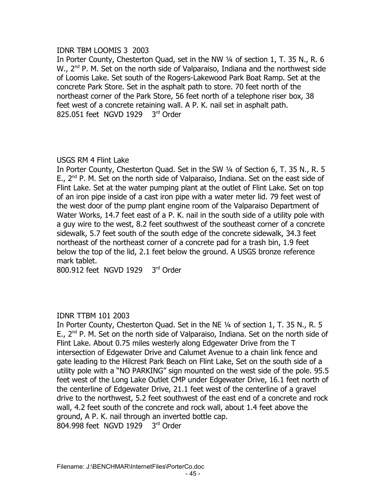# IDNR TBM LOOMIS 3 2003

In Porter County, Chesterton Quad, set in the NW ¼ of section 1, T. 35 N., R. 6  $W_{1}$ ,  $2^{nd}$  P. M. Set on the north side of Valparaiso, Indiana and the northwest side of Loomis Lake. Set south of the Rogers-Lakewood Park Boat Ramp. Set at the concrete Park Store. Set in the asphalt path to store. 70 feet north of the northeast corner of the Park Store, 56 feet north of a telephone riser box, 38 feet west of a concrete retaining wall. A P. K. nail set in asphalt path.  $825.051$  feet NGVD 1929  $3<sup>rd</sup>$  Order

# USGS RM 4 Flint Lake

In Porter County, Chesterton Quad. Set in the SW ¼ of Section 6, T. 35 N., R. 5  $E_{1}$ ,  $2^{nd}$  P. M. Set on the north side of Valparaiso, Indiana. Set on the east side of Flint Lake. Set at the water pumping plant at the outlet of Flint Lake. Set on top of an iron pipe inside of a cast iron pipe with a water meter lid. 79 feet west of the west door of the pump plant engine room of the Valparaiso Department of Water Works, 14.7 feet east of a P. K. nail in the south side of a utility pole with a guy wire to the west, 8.2 feet southwest of the southeast corner of a concrete sidewalk, 5.7 feet south of the south edge of the concrete sidewalk, 34.3 feet northeast of the northeast corner of a concrete pad for a trash bin, 1.9 feet below the top of the lid, 2.1 feet below the ground. A USGS bronze reference mark tablet.

800.912 feet NGVD 1929 3rd Order

# IDNR TTBM 101 2003

In Porter County, Chesterton Quad. Set in the NE ¼ of section 1, T. 35 N., R. 5  $E_{1}$ ,  $2^{nd}$  P. M. Set on the north side of Valparaiso, Indiana. Set on the north side of Flint Lake. About 0.75 miles westerly along Edgewater Drive from the T intersection of Edgewater Drive and Calumet Avenue to a chain link fence and gate leading to the Hilcrest Park Beach on Flint Lake, Set on the south side of a utility pole with a "NO PARKING" sign mounted on the west side of the pole. 95.5 feet west of the Long Lake Outlet CMP under Edgewater Drive, 16.1 feet north of the centerline of Edgewater Drive, 21.1 feet west of the centerline of a gravel drive to the northwest, 5.2 feet southwest of the east end of a concrete and rock wall, 4.2 feet south of the concrete and rock wall, about 1.4 feet above the ground, A P. K. nail through an inverted bottle cap. 804.998 feet NGVD 1929 3rd Order